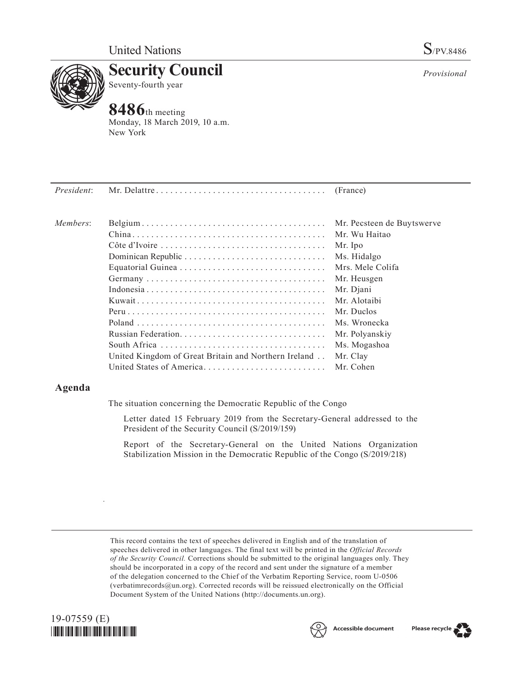

**Security Council** Seventy-fourth year

# **8486**th meeting

Monday, 18 March 2019, 10 a.m. New York

| President: |                                                      |                            |
|------------|------------------------------------------------------|----------------------------|
| Members:   |                                                      | Mr. Pecsteen de Buytswerve |
|            |                                                      | Mr. Wu Haitao              |
|            |                                                      | Mr. Ipo                    |
|            |                                                      | Ms. Hidalgo                |
|            |                                                      | Mrs. Mele Colifa           |
|            |                                                      | Mr. Heusgen                |
|            |                                                      | Mr. Djani                  |
|            |                                                      | Mr. Alotaibi               |
|            |                                                      | Mr. Duclos                 |
|            |                                                      | Ms. Wronecka               |
|            |                                                      | Mr. Polyanskiy             |
|            |                                                      | Ms. Mogashoa               |
|            | United Kingdom of Great Britain and Northern Ireland | Mr. Clay                   |
|            | United States of America                             | Mr. Cohen                  |

# **Agenda**

The situation concerning the Democratic Republic of the Congo

Letter dated 15 February 2019 from the Secretary-General addressed to the President of the Security Council (S/2019/159)

Report of the Secretary-General on the United Nations Organization Stabilization Mission in the Democratic Republic of the Congo (S/2019/218)

This record contains the text of speeches delivered in English and of the translation of speeches delivered in other languages. The final text will be printed in the *Official Records of the Security Council.* Corrections should be submitted to the original languages only. They should be incorporated in a copy of the record and sent under the signature of a member of the delegation concerned to the Chief of the Verbatim Reporting Service, room U-0506 (verbatimrecords $@un.org$ ). Corrected records will be reissued electronically on the Official Document System of the United Nations [\(http://documents.un.org\)](http://documents.un.org).



.





*Provisional*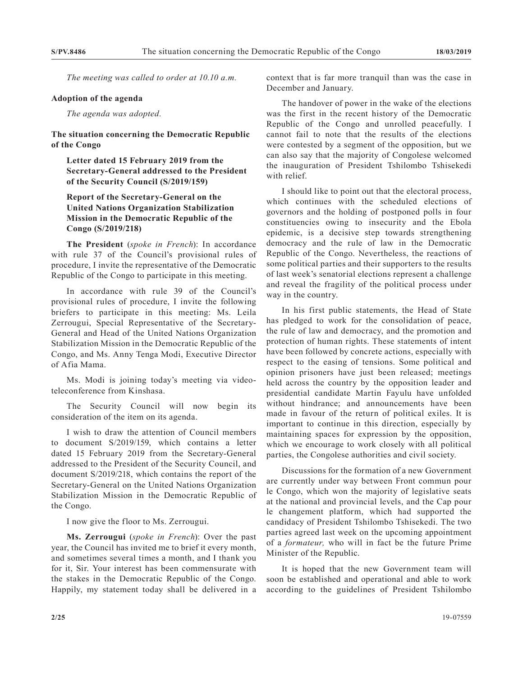*The meeting was called to order at 10.10 a.m.*

#### **Adoption of the agenda**

*The agenda was adopted.*

### **The situation concerning the Democratic Republic of the Congo**

**Letter dated 15 February 2019 from the Secretary-General addressed to the President of the Security Council (S/2019/159)**

## **Report of the Secretary-General on the United Nations Organization Stabilization Mission in the Democratic Republic of the Congo (S/2019/218)**

**The President** (*spoke in French*): In accordance with rule 37 of the Council's provisional rules of procedure, I invite the representative of the Democratic Republic of the Congo to participate in this meeting.

In accordance with rule 39 of the Council's provisional rules of procedure, I invite the following briefers to participate in this meeting: Ms. Leila Zerrougui, Special Representative of the Secretary-General and Head of the United Nations Organization Stabilization Mission in the Democratic Republic of the Congo, and Ms. Anny Tenga Modi, Executive Director of Afia Mama.

Ms. Modi is joining today's meeting via videoteleconference from Kinshasa.

The Security Council will now begin its consideration of the item on its agenda.

I wish to draw the attention of Council members to document S/2019/159, which contains a letter dated 15 February 2019 from the Secretary-General addressed to the President of the Security Council, and document S/2019/218, which contains the report of the Secretary-General on the United Nations Organization Stabilization Mission in the Democratic Republic of the Congo.

I now give the floor to Ms. Zerrougui.

**Ms. Zerrougui** (*spoke in French*): Over the past year, the Council has invited me to brief it every month, and sometimes several times a month, and I thank you for it, Sir. Your interest has been commensurate with the stakes in the Democratic Republic of the Congo. Happily, my statement today shall be delivered in a

context that is far more tranquil than was the case in December and January.

The handover of power in the wake of the elections was the first in the recent history of the Democratic Republic of the Congo and unrolled peacefully. I cannot fail to note that the results of the elections were contested by a segment of the opposition, but we can also say that the majority of Congolese welcomed the inauguration of President Tshilombo Tshisekedi with relief.

I should like to point out that the electoral process, which continues with the scheduled elections of governors and the holding of postponed polls in four constituencies owing to insecurity and the Ebola epidemic, is a decisive step towards strengthening democracy and the rule of law in the Democratic Republic of the Congo. Nevertheless, the reactions of some political parties and their supporters to the results of last week's senatorial elections represent a challenge and reveal the fragility of the political process under way in the country.

In his first public statements, the Head of State has pledged to work for the consolidation of peace, the rule of law and democracy, and the promotion and protection of human rights. These statements of intent have been followed by concrete actions, especially with respect to the easing of tensions. Some political and opinion prisoners have just been released; meetings held across the country by the opposition leader and presidential candidate Martin Fayulu have unfolded without hindrance; and announcements have been made in favour of the return of political exiles. It is important to continue in this direction, especially by maintaining spaces for expression by the opposition, which we encourage to work closely with all political parties, the Congolese authorities and civil society.

Discussions for the formation of a new Government are currently under way between Front commun pour le Congo, which won the majority of legislative seats at the national and provincial levels, and the Cap pour le changement platform, which had supported the candidacy of President Tshilombo Tshisekedi. The two parties agreed last week on the upcoming appointment of a *formateur,* who will in fact be the future Prime Minister of the Republic.

It is hoped that the new Government team will soon be established and operational and able to work according to the guidelines of President Tshilombo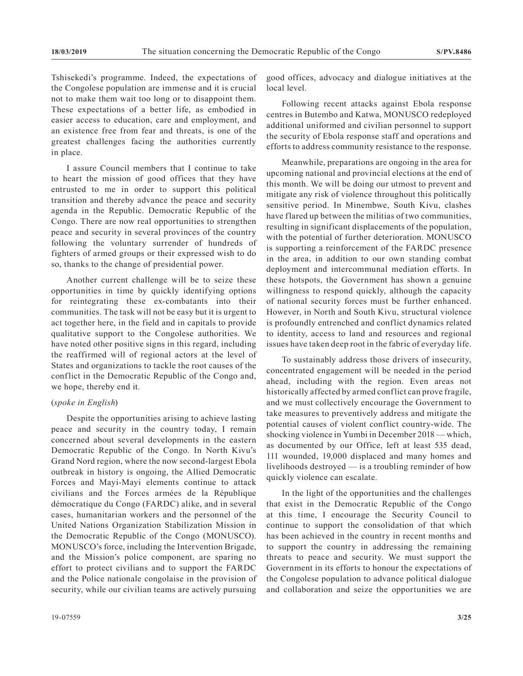Tshisekedi's programme. Indeed, the expectations of the Congolese population are immense and it is crucial not to make them wait too long or to disappoint them. These expectations of a better life, as embodied in easier access to education, care and employment, and an existence free from fear and threats, is one of the greatest challenges facing the authorities currently in place.

I assure Council members that I continue to take to heart the mission of good offices that they have entrusted to me in order to support this political transition and thereby advance the peace and security agenda in the Republic. Democratic Republic of the Congo. There are now real opportunities to strengthen peace and security in several provinces of the country following the voluntary surrender of hundreds of fighters of armed groups or their expressed wish to do so, thanks to the change of presidential power.

Another current challenge will be to seize these opportunities in time by quickly identifying options for reintegrating these ex-combatants into their communities. The task will not be easy but it is urgent to act together here, in the field and in capitals to provide qualitative support to the Congolese authorities. We have noted other positive signs in this regard, including the reaffirmed will of regional actors at the level of States and organizations to tackle the root causes of the conflict in the Democratic Republic of the Congo and, we hope, thereby end it.

#### (*spoke in English*)

Despite the opportunities arising to achieve lasting peace and security in the country today, I remain concerned about several developments in the eastern Democratic Republic of the Congo. In North Kivu's Grand Nord region, where the now second-largest Ebola outbreak in history is ongoing, the Allied Democratic Forces and Mayi-Mayi elements continue to attack civilians and the Forces armées de la République démocratique du Congo (FARDC) alike, and in several cases, humanitarian workers and the personnel of the United Nations Organization Stabilization Mission in the Democratic Republic of the Congo (MONUSCO). MONUSCO's force, including the Intervention Brigade, and the Mission's police component, are sparing no effort to protect civilians and to support the FARDC and the Police nationale congolaise in the provision of security, while our civilian teams are actively pursuing

good offices, advocacy and dialogue initiatives at the local level.

Following recent attacks against Ebola response centres in Butembo and Katwa, MONUSCO redeployed additional uniformed and civilian personnel to support the security of Ebola response staff and operations and efforts to address community resistance to the response.

Meanwhile, preparations are ongoing in the area for upcoming national and provincial elections at the end of this month. We will be doing our utmost to prevent and mitigate any risk of violence throughout this politically sensitive period. In Minembwe, South Kivu, clashes have flared up between the militias of two communities, resulting in significant displacements of the population, with the potential of further deterioration. MONUSCO is supporting a reinforcement of the FARDC presence in the area, in addition to our own standing combat deployment and intercommunal mediation efforts. In these hotspots, the Government has shown a genuine willingness to respond quickly, although the capacity of national security forces must be further enhanced. However, in North and South Kivu, structural violence is profoundly entrenched and conflict dynamics related to identity, access to land and resources and regional issues have taken deep root in the fabric of everyday life.

To sustainably address those drivers of insecurity, concentrated engagement will be needed in the period ahead, including with the region. Even areas not historically affected by armed conflict can prove fragile, and we must collectively encourage the Government to take measures to preventively address and mitigate the potential causes of violent conflict country-wide. The shocking violence in Yumbi in December 2018 — which, as documented by our Office, left at least 535 dead, 111 wounded, 19,000 displaced and many homes and livelihoods destroyed — is a troubling reminder of how quickly violence can escalate.

In the light of the opportunities and the challenges that exist in the Democratic Republic of the Congo at this time, I encourage the Security Council to continue to support the consolidation of that which has been achieved in the country in recent months and to support the country in addressing the remaining threats to peace and security. We must support the Government in its efforts to honour the expectations of the Congolese population to advance political dialogue and collaboration and seize the opportunities we are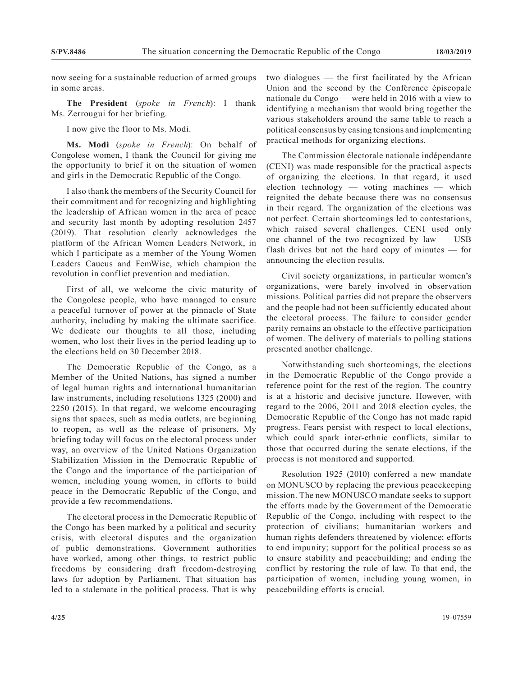now seeing for a sustainable reduction of armed groups in some areas.

**The President** (*spoke in French*): I thank Ms. Zerrougui for her briefing.

I now give the floor to Ms. Modi.

**Ms. Modi** (*spoke in French*): On behalf of Congolese women, I thank the Council for giving me the opportunity to brief it on the situation of women and girls in the Democratic Republic of the Congo.

I also thank the members of the Security Council for their commitment and for recognizing and highlighting the leadership of African women in the area of peace and security last month by adopting resolution 2457 (2019). That resolution clearly acknowledges the platform of the African Women Leaders Network, in which I participate as a member of the Young Women Leaders Caucus and FemWise, which champion the revolution in conflict prevention and mediation.

First of all, we welcome the civic maturity of the Congolese people, who have managed to ensure a peaceful turnover of power at the pinnacle of State authority, including by making the ultimate sacrifice. We dedicate our thoughts to all those, including women, who lost their lives in the period leading up to the elections held on 30 December 2018.

The Democratic Republic of the Congo, as a Member of the United Nations, has signed a number of legal human rights and international humanitarian law instruments, including resolutions 1325 (2000) and 2250 (2015). In that regard, we welcome encouraging signs that spaces, such as media outlets, are beginning to reopen, as well as the release of prisoners. My briefing today will focus on the electoral process under way, an overview of the United Nations Organization Stabilization Mission in the Democratic Republic of the Congo and the importance of the participation of women, including young women, in efforts to build peace in the Democratic Republic of the Congo, and provide a few recommendations.

The electoral process in the Democratic Republic of the Congo has been marked by a political and security crisis, with electoral disputes and the organization of public demonstrations. Government authorities have worked, among other things, to restrict public freedoms by considering draft freedom-destroying laws for adoption by Parliament. That situation has led to a stalemate in the political process. That is why

two dialogues — the first facilitated by the African Union and the second by the Conférence épiscopale nationale du Congo — were held in 2016 with a view to identifying a mechanism that would bring together the various stakeholders around the same table to reach a political consensus by easing tensions and implementing practical methods for organizing elections.

The Commission électorale nationale indépendante (CENI) was made responsible for the practical aspects of organizing the elections. In that regard, it used election technology — voting machines — which reignited the debate because there was no consensus in their regard. The organization of the elections was not perfect. Certain shortcomings led to contestations, which raised several challenges. CENI used only one channel of the two recognized by law — USB flash drives but not the hard copy of minutes — for announcing the election results.

Civil society organizations, in particular women's organizations, were barely involved in observation missions. Political parties did not prepare the observers and the people had not been sufficiently educated about the electoral process. The failure to consider gender parity remains an obstacle to the effective participation of women. The delivery of materials to polling stations presented another challenge.

Notwithstanding such shortcomings, the elections in the Democratic Republic of the Congo provide a reference point for the rest of the region. The country is at a historic and decisive juncture. However, with regard to the 2006, 2011 and 2018 election cycles, the Democratic Republic of the Congo has not made rapid progress. Fears persist with respect to local elections, which could spark inter-ethnic conflicts, similar to those that occurred during the senate elections, if the process is not monitored and supported.

Resolution 1925 (2010) conferred a new mandate on MONUSCO by replacing the previous peacekeeping mission. The new MONUSCO mandate seeks to support the efforts made by the Government of the Democratic Republic of the Congo, including with respect to the protection of civilians; humanitarian workers and human rights defenders threatened by violence; efforts to end impunity; support for the political process so as to ensure stability and peacebuilding; and ending the conflict by restoring the rule of law. To that end, the participation of women, including young women, in peacebuilding efforts is crucial.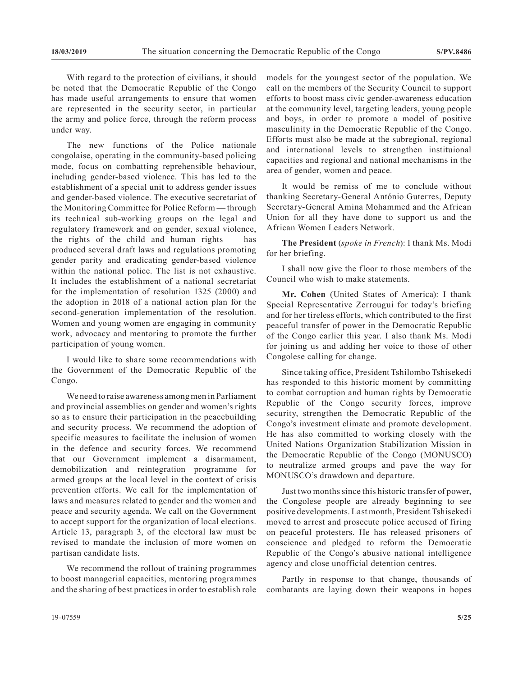With regard to the protection of civilians, it should be noted that the Democratic Republic of the Congo has made useful arrangements to ensure that women are represented in the security sector, in particular the army and police force, through the reform process under way.

The new functions of the Police nationale congolaise, operating in the community-based policing mode, focus on combatting reprehensible behaviour, including gender-based violence. This has led to the establishment of a special unit to address gender issues and gender-based violence. The executive secretariat of the Monitoring Committee for Police Reform — through its technical sub-working groups on the legal and regulatory framework and on gender, sexual violence, the rights of the child and human rights — has produced several draft laws and regulations promoting gender parity and eradicating gender-based violence within the national police. The list is not exhaustive. It includes the establishment of a national secretariat for the implementation of resolution 1325 (2000) and the adoption in 2018 of a national action plan for the second-generation implementation of the resolution. Women and young women are engaging in community work, advocacy and mentoring to promote the further participation of young women.

I would like to share some recommendations with the Government of the Democratic Republic of the Congo.

We need to raise awareness among men in Parliament and provincial assemblies on gender and women's rights so as to ensure their participation in the peacebuilding and security process. We recommend the adoption of specific measures to facilitate the inclusion of women in the defence and security forces. We recommend that our Government implement a disarmament, demobilization and reintegration programme for armed groups at the local level in the context of crisis prevention efforts. We call for the implementation of laws and measures related to gender and the women and peace and security agenda. We call on the Government to accept support for the organization of local elections. Article 13, paragraph 3, of the electoral law must be revised to mandate the inclusion of more women on partisan candidate lists.

We recommend the rollout of training programmes to boost managerial capacities, mentoring programmes and the sharing of best practices in order to establish role models for the youngest sector of the population. We call on the members of the Security Council to support efforts to boost mass civic gender-awareness education at the community level, targeting leaders, young people and boys, in order to promote a model of positive masculinity in the Democratic Republic of the Congo. Efforts must also be made at the subregional, regional and international levels to strengthen instituional capacities and regional and national mechanisms in the area of gender, women and peace.

It would be remiss of me to conclude without thanking Secretary-General António Guterres, Deputy Secretary-General Amina Mohammed and the African Union for all they have done to support us and the African Women Leaders Network.

**The President** (*spoke in French*): I thank Ms. Modi for her briefing.

I shall now give the floor to those members of the Council who wish to make statements.

**Mr. Cohen** (United States of America): I thank Special Representative Zerrougui for today's briefing and for her tireless efforts, which contributed to the first peaceful transfer of power in the Democratic Republic of the Congo earlier this year. I also thank Ms. Modi for joining us and adding her voice to those of other Congolese calling for change.

Since taking office, President Tshilombo Tshisekedi has responded to this historic moment by committing to combat corruption and human rights by Democratic Republic of the Congo security forces, improve security, strengthen the Democratic Republic of the Congo's investment climate and promote development. He has also committed to working closely with the United Nations Organization Stabilization Mission in the Democratic Republic of the Congo (MONUSCO) to neutralize armed groups and pave the way for MONUSCO's drawdown and departure.

Just two months since this historic transfer of power, the Congolese people are already beginning to see positive developments. Last month, President Tshisekedi moved to arrest and prosecute police accused of firing on peaceful protesters. He has released prisoners of conscience and pledged to reform the Democratic Republic of the Congo's abusive national intelligence agency and close unofficial detention centres.

Partly in response to that change, thousands of combatants are laying down their weapons in hopes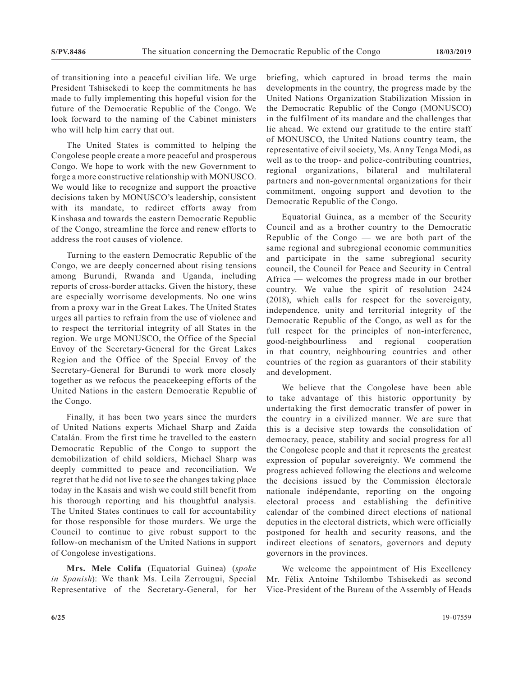of transitioning into a peaceful civilian life. We urge President Tshisekedi to keep the commitments he has made to fully implementing this hopeful vision for the future of the Democratic Republic of the Congo. We look forward to the naming of the Cabinet ministers who will help him carry that out.

The United States is committed to helping the Congolese people create a more peaceful and prosperous Congo. We hope to work with the new Government to forge a more constructive relationship with MONUSCO. We would like to recognize and support the proactive decisions taken by MONUSCO's leadership, consistent with its mandate, to redirect efforts away from Kinshasa and towards the eastern Democratic Republic of the Congo, streamline the force and renew efforts to address the root causes of violence.

Turning to the eastern Democratic Republic of the Congo, we are deeply concerned about rising tensions among Burundi, Rwanda and Uganda, including reports of cross-border attacks. Given the history, these are especially worrisome developments. No one wins from a proxy war in the Great Lakes. The United States urges all parties to refrain from the use of violence and to respect the territorial integrity of all States in the region. We urge MONUSCO, the Office of the Special Envoy of the Secretary-General for the Great Lakes Region and the Office of the Special Envoy of the Secretary-General for Burundi to work more closely together as we refocus the peacekeeping efforts of the United Nations in the eastern Democratic Republic of the Congo.

Finally, it has been two years since the murders of United Nations experts Michael Sharp and Zaida Catalán. From the first time he travelled to the eastern Democratic Republic of the Congo to support the demobilization of child soldiers, Michael Sharp was deeply committed to peace and reconciliation. We regret that he did not live to see the changes taking place today in the Kasais and wish we could still benefit from his thorough reporting and his thoughtful analysis. The United States continues to call for accountability for those responsible for those murders. We urge the Council to continue to give robust support to the follow-on mechanism of the United Nations in support of Congolese investigations.

**Mrs. Mele Colifa** (Equatorial Guinea) (*spoke in Spanish*): We thank Ms. Leila Zerrougui, Special Representative of the Secretary-General, for her briefing, which captured in broad terms the main developments in the country, the progress made by the United Nations Organization Stabilization Mission in the Democratic Republic of the Congo (MONUSCO) in the fulfilment of its mandate and the challenges that lie ahead. We extend our gratitude to the entire staff of MONUSCO, the United Nations country team, the representative of civil society, Ms. Anny Tenga Modi, as well as to the troop- and police-contributing countries, regional organizations, bilateral and multilateral partners and non-governmental organizations for their commitment, ongoing support and devotion to the Democratic Republic of the Congo.

Equatorial Guinea, as a member of the Security Council and as a brother country to the Democratic Republic of the Congo — we are both part of the same regional and subregional economic communities and participate in the same subregional security council, the Council for Peace and Security in Central Africa — welcomes the progress made in our brother country. We value the spirit of resolution 2424 (2018), which calls for respect for the sovereignty, independence, unity and territorial integrity of the Democratic Republic of the Congo, as well as for the full respect for the principles of non-interference, good-neighbourliness and regional cooperation in that country, neighbouring countries and other countries of the region as guarantors of their stability and development.

We believe that the Congolese have been able to take advantage of this historic opportunity by undertaking the first democratic transfer of power in the country in a civilized manner. We are sure that this is a decisive step towards the consolidation of democracy, peace, stability and social progress for all the Congolese people and that it represents the greatest expression of popular sovereignty. We commend the progress achieved following the elections and welcome the decisions issued by the Commission électorale nationale indépendante, reporting on the ongoing electoral process and establishing the definitive calendar of the combined direct elections of national deputies in the electoral districts, which were officially postponed for health and security reasons, and the indirect elections of senators, governors and deputy governors in the provinces.

We welcome the appointment of His Excellency Mr. Félix Antoine Tshilombo Tshisekedi as second Vice-President of the Bureau of the Assembly of Heads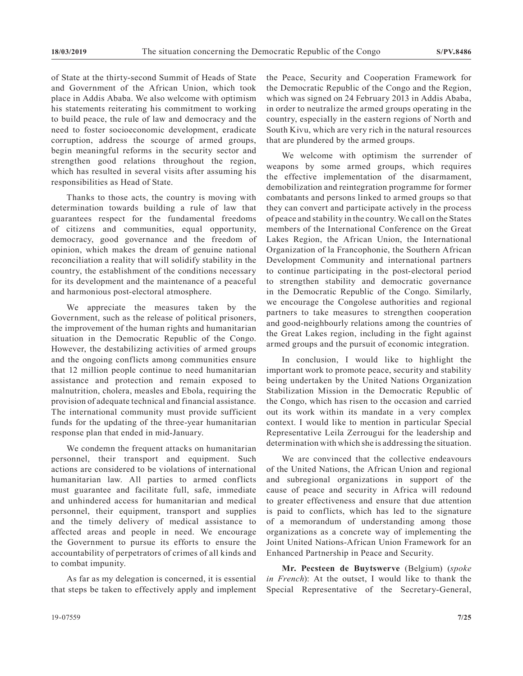of State at the thirty-second Summit of Heads of State and Government of the African Union, which took place in Addis Ababa. We also welcome with optimism his statements reiterating his commitment to working to build peace, the rule of law and democracy and the need to foster socioeconomic development, eradicate corruption, address the scourge of armed groups, begin meaningful reforms in the security sector and strengthen good relations throughout the region, which has resulted in several visits after assuming his responsibilities as Head of State.

Thanks to those acts, the country is moving with determination towards building a rule of law that guarantees respect for the fundamental freedoms of citizens and communities, equal opportunity, democracy, good governance and the freedom of opinion, which makes the dream of genuine national reconciliation a reality that will solidify stability in the country, the establishment of the conditions necessary for its development and the maintenance of a peaceful and harmonious post-electoral atmosphere.

We appreciate the measures taken by the Government, such as the release of political prisoners, the improvement of the human rights and humanitarian situation in the Democratic Republic of the Congo. However, the destabilizing activities of armed groups and the ongoing conflicts among communities ensure that 12 million people continue to need humanitarian assistance and protection and remain exposed to malnutrition, cholera, measles and Ebola, requiring the provision of adequate technical and financial assistance. The international community must provide sufficient funds for the updating of the three-year humanitarian response plan that ended in mid-January.

We condemn the frequent attacks on humanitarian personnel, their transport and equipment. Such actions are considered to be violations of international humanitarian law. All parties to armed conflicts must guarantee and facilitate full, safe, immediate and unhindered access for humanitarian and medical personnel, their equipment, transport and supplies and the timely delivery of medical assistance to affected areas and people in need. We encourage the Government to pursue its efforts to ensure the accountability of perpetrators of crimes of all kinds and to combat impunity.

As far as my delegation is concerned, it is essential that steps be taken to effectively apply and implement the Peace, Security and Cooperation Framework for the Democratic Republic of the Congo and the Region, which was signed on 24 February 2013 in Addis Ababa, in order to neutralize the armed groups operating in the country, especially in the eastern regions of North and South Kivu, which are very rich in the natural resources that are plundered by the armed groups.

We welcome with optimism the surrender of weapons by some armed groups, which requires the effective implementation of the disarmament, demobilization and reintegration programme for former combatants and persons linked to armed groups so that they can convert and participate actively in the process of peace and stability in the country. We call on the States members of the International Conference on the Great Lakes Region, the African Union, the International Organization of la Francophonie, the Southern African Development Community and international partners to continue participating in the post-electoral period to strengthen stability and democratic governance in the Democratic Republic of the Congo. Similarly, we encourage the Congolese authorities and regional partners to take measures to strengthen cooperation and good-neighbourly relations among the countries of the Great Lakes region, including in the fight against armed groups and the pursuit of economic integration.

In conclusion, I would like to highlight the important work to promote peace, security and stability being undertaken by the United Nations Organization Stabilization Mission in the Democratic Republic of the Congo, which has risen to the occasion and carried out its work within its mandate in a very complex context. I would like to mention in particular Special Representative Leila Zerrougui for the leadership and determination with which she is addressing the situation.

We are convinced that the collective endeavours of the United Nations, the African Union and regional and subregional organizations in support of the cause of peace and security in Africa will redound to greater effectiveness and ensure that due attention is paid to conflicts, which has led to the signature of a memorandum of understanding among those organizations as a concrete way of implementing the Joint United Nations-African Union Framework for an Enhanced Partnership in Peace and Security.

**Mr. Pecsteen de Buytswerve** (Belgium) (*spoke in French*): At the outset, I would like to thank the Special Representative of the Secretary-General,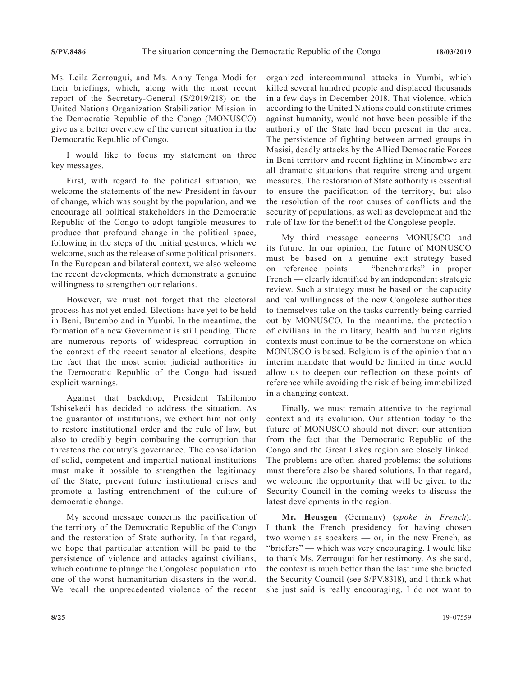Ms. Leila Zerrougui, and Ms. Anny Tenga Modi for their briefings, which, along with the most recent report of the Secretary-General (S/2019/218) on the United Nations Organization Stabilization Mission in the Democratic Republic of the Congo (MONUSCO) give us a better overview of the current situation in the Democratic Republic of Congo.

I would like to focus my statement on three key messages.

First, with regard to the political situation, we welcome the statements of the new President in favour of change, which was sought by the population, and we encourage all political stakeholders in the Democratic Republic of the Congo to adopt tangible measures to produce that profound change in the political space, following in the steps of the initial gestures, which we welcome, such as the release of some political prisoners. In the European and bilateral context, we also welcome the recent developments, which demonstrate a genuine willingness to strengthen our relations.

However, we must not forget that the electoral process has not yet ended. Elections have yet to be held in Beni, Butembo and in Yumbi. In the meantime, the formation of a new Government is still pending. There are numerous reports of widespread corruption in the context of the recent senatorial elections, despite the fact that the most senior judicial authorities in the Democratic Republic of the Congo had issued explicit warnings.

Against that backdrop, President Tshilombo Tshisekedi has decided to address the situation. As the guarantor of institutions, we exhort him not only to restore institutional order and the rule of law, but also to credibly begin combating the corruption that threatens the country's governance. The consolidation of solid, competent and impartial national institutions must make it possible to strengthen the legitimacy of the State, prevent future institutional crises and promote a lasting entrenchment of the culture of democratic change.

My second message concerns the pacification of the territory of the Democratic Republic of the Congo and the restoration of State authority. In that regard, we hope that particular attention will be paid to the persistence of violence and attacks against civilians, which continue to plunge the Congolese population into one of the worst humanitarian disasters in the world. We recall the unprecedented violence of the recent organized intercommunal attacks in Yumbi, which killed several hundred people and displaced thousands in a few days in December 2018. That violence, which according to the United Nations could constitute crimes against humanity, would not have been possible if the authority of the State had been present in the area. The persistence of fighting between armed groups in Masisi, deadly attacks by the Allied Democratic Forces in Beni territory and recent fighting in Minembwe are all dramatic situations that require strong and urgent measures. The restoration of State authority is essential to ensure the pacification of the territory, but also the resolution of the root causes of conflicts and the security of populations, as well as development and the rule of law for the benefit of the Congolese people.

My third message concerns MONUSCO and its future. In our opinion, the future of MONUSCO must be based on a genuine exit strategy based on reference points — "benchmarks" in proper French — clearly identified by an independent strategic review. Such a strategy must be based on the capacity and real willingness of the new Congolese authorities to themselves take on the tasks currently being carried out by MONUSCO. In the meantime, the protection of civilians in the military, health and human rights contexts must continue to be the cornerstone on which MONUSCO is based. Belgium is of the opinion that an interim mandate that would be limited in time would allow us to deepen our reflection on these points of reference while avoiding the risk of being immobilized in a changing context.

Finally, we must remain attentive to the regional context and its evolution. Our attention today to the future of MONUSCO should not divert our attention from the fact that the Democratic Republic of the Congo and the Great Lakes region are closely linked. The problems are often shared problems; the solutions must therefore also be shared solutions. In that regard, we welcome the opportunity that will be given to the Security Council in the coming weeks to discuss the latest developments in the region.

**Mr. Heusgen** (Germany) (*spoke in French*): I thank the French presidency for having chosen two women as speakers — or, in the new French, as "briefers" — which was very encouraging. I would like to thank Ms. Zerrougui for her testimony. As she said, the context is much better than the last time she briefed the Security Council (see S/PV.8318), and I think what she just said is really encouraging. I do not want to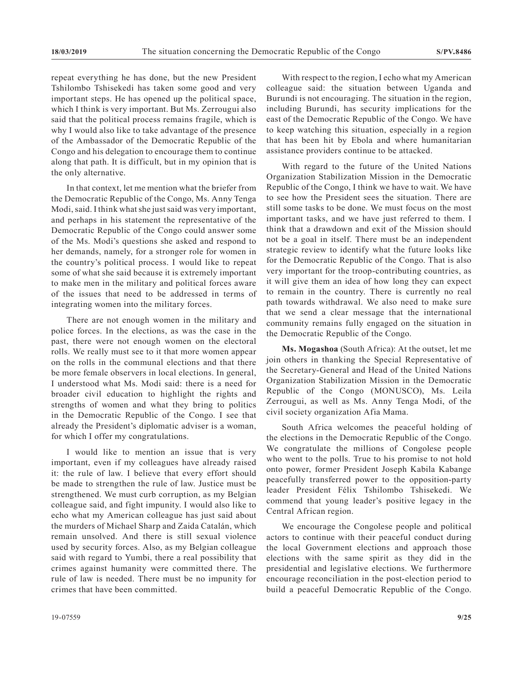repeat everything he has done, but the new President Tshilombo Tshisekedi has taken some good and very important steps. He has opened up the political space, which I think is very important. But Ms. Zerrougui also said that the political process remains fragile, which is why I would also like to take advantage of the presence of the Ambassador of the Democratic Republic of the Congo and his delegation to encourage them to continue along that path. It is difficult, but in my opinion that is the only alternative.

In that context, let me mention what the briefer from the Democratic Republic of the Congo, Ms. Anny Tenga Modi, said. I think what she just said was very important, and perhaps in his statement the representative of the Democratic Republic of the Congo could answer some of the Ms. Modi's questions she asked and respond to her demands, namely, for a stronger role for women in the country's political process. I would like to repeat some of what she said because it is extremely important to make men in the military and political forces aware of the issues that need to be addressed in terms of integrating women into the military forces.

There are not enough women in the military and police forces. In the elections, as was the case in the past, there were not enough women on the electoral rolls. We really must see to it that more women appear on the rolls in the communal elections and that there be more female observers in local elections. In general, I understood what Ms. Modi said: there is a need for broader civil education to highlight the rights and strengths of women and what they bring to politics in the Democratic Republic of the Congo. I see that already the President's diplomatic adviser is a woman, for which I offer my congratulations.

I would like to mention an issue that is very important, even if my colleagues have already raised it: the rule of law. I believe that every effort should be made to strengthen the rule of law. Justice must be strengthened. We must curb corruption, as my Belgian colleague said, and fight impunity. I would also like to echo what my American colleague has just said about the murders of Michael Sharp and Zaida Catalán, which remain unsolved. And there is still sexual violence used by security forces. Also, as my Belgian colleague said with regard to Yumbi, there a real possibility that crimes against humanity were committed there. The rule of law is needed. There must be no impunity for crimes that have been committed.

With respect to the region, I echo what my American colleague said: the situation between Uganda and Burundi is not encouraging. The situation in the region, including Burundi, has security implications for the east of the Democratic Republic of the Congo. We have to keep watching this situation, especially in a region that has been hit by Ebola and where humanitarian assistance providers continue to be attacked.

With regard to the future of the United Nations Organization Stabilization Mission in the Democratic Republic of the Congo, I think we have to wait. We have to see how the President sees the situation. There are still some tasks to be done. We must focus on the most important tasks, and we have just referred to them. I think that a drawdown and exit of the Mission should not be a goal in itself. There must be an independent strategic review to identify what the future looks like for the Democratic Republic of the Congo. That is also very important for the troop-contributing countries, as it will give them an idea of how long they can expect to remain in the country. There is currently no real path towards withdrawal. We also need to make sure that we send a clear message that the international community remains fully engaged on the situation in the Democratic Republic of the Congo.

**Ms. Mogashoa** (South Africa): At the outset, let me join others in thanking the Special Representative of the Secretary-General and Head of the United Nations Organization Stabilization Mission in the Democratic Republic of the Congo (MONUSCO), Ms. Leila Zerrougui, as well as Ms. Anny Tenga Modi, of the civil society organization Afia Mama.

South Africa welcomes the peaceful holding of the elections in the Democratic Republic of the Congo. We congratulate the millions of Congolese people who went to the polls. True to his promise to not hold onto power, former President Joseph Kabila Kabange peacefully transferred power to the opposition-party leader President Félix Tshilombo Tshisekedi. We commend that young leader's positive legacy in the Central African region.

We encourage the Congolese people and political actors to continue with their peaceful conduct during the local Government elections and approach those elections with the same spirit as they did in the presidential and legislative elections. We furthermore encourage reconciliation in the post-election period to build a peaceful Democratic Republic of the Congo.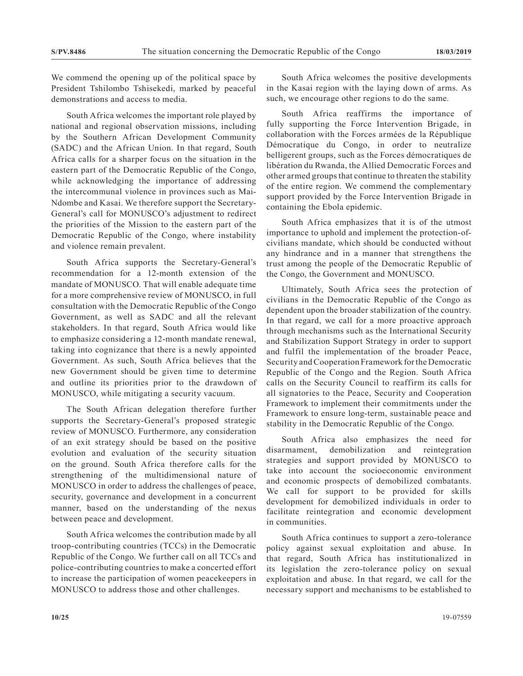We commend the opening up of the political space by President Tshilombo Tshisekedi, marked by peaceful demonstrations and access to media.

South Africa welcomes the important role played by national and regional observation missions, including by the Southern African Development Community (SADC) and the African Union. In that regard, South Africa calls for a sharper focus on the situation in the eastern part of the Democratic Republic of the Congo, while acknowledging the importance of addressing the intercommunal violence in provinces such as Mai-Ndombe and Kasai. We therefore support the Secretary-General's call for MONUSCO's adjustment to redirect the priorities of the Mission to the eastern part of the Democratic Republic of the Congo, where instability and violence remain prevalent.

South Africa supports the Secretary-General's recommendation for a 12-month extension of the mandate of MONUSCO. That will enable adequate time for a more comprehensive review of MONUSCO, in full consultation with the Democratic Republic of the Congo Government, as well as SADC and all the relevant stakeholders. In that regard, South Africa would like to emphasize considering a 12-month mandate renewal, taking into cognizance that there is a newly appointed Government. As such, South Africa believes that the new Government should be given time to determine and outline its priorities prior to the drawdown of MONUSCO, while mitigating a security vacuum.

The South African delegation therefore further supports the Secretary-General's proposed strategic review of MONUSCO. Furthermore, any consideration of an exit strategy should be based on the positive evolution and evaluation of the security situation on the ground. South Africa therefore calls for the strengthening of the multidimensional nature of MONUSCO in order to address the challenges of peace, security, governance and development in a concurrent manner, based on the understanding of the nexus between peace and development.

South Africa welcomes the contribution made by all troop-contributing countries (TCCs) in the Democratic Republic of the Congo. We further call on all TCCs and police-contributing countries to make a concerted effort to increase the participation of women peacekeepers in MONUSCO to address those and other challenges.

South Africa welcomes the positive developments in the Kasai region with the laying down of arms. As such, we encourage other regions to do the same.

South Africa reaffirms the importance of fully supporting the Force Intervention Brigade, in collaboration with the Forces armées de la République Démocratique du Congo, in order to neutralize belligerent groups, such as the Forces démocratiques de libération du Rwanda, the Allied Democratic Forces and other armed groups that continue to threaten the stability of the entire region. We commend the complementary support provided by the Force Intervention Brigade in containing the Ebola epidemic.

South Africa emphasizes that it is of the utmost importance to uphold and implement the protection-ofcivilians mandate, which should be conducted without any hindrance and in a manner that strengthens the trust among the people of the Democratic Republic of the Congo, the Government and MONUSCO.

Ultimately, South Africa sees the protection of civilians in the Democratic Republic of the Congo as dependent upon the broader stabilization of the country. In that regard, we call for a more proactive approach through mechanisms such as the International Security and Stabilization Support Strategy in order to support and fulfil the implementation of the broader Peace, Security and Cooperation Framework for the Democratic Republic of the Congo and the Region. South Africa calls on the Security Council to reaffirm its calls for all signatories to the Peace, Security and Cooperation Framework to implement their commitments under the Framework to ensure long-term, sustainable peace and stability in the Democratic Republic of the Congo.

South Africa also emphasizes the need for disarmament, demobilization and reintegration strategies and support provided by MONUSCO to take into account the socioeconomic environment and economic prospects of demobilized combatants. We call for support to be provided for skills development for demobilized individuals in order to facilitate reintegration and economic development in communities.

South Africa continues to support a zero-tolerance policy against sexual exploitation and abuse. In that regard, South Africa has institutionalized in its legislation the zero-tolerance policy on sexual exploitation and abuse. In that regard, we call for the necessary support and mechanisms to be established to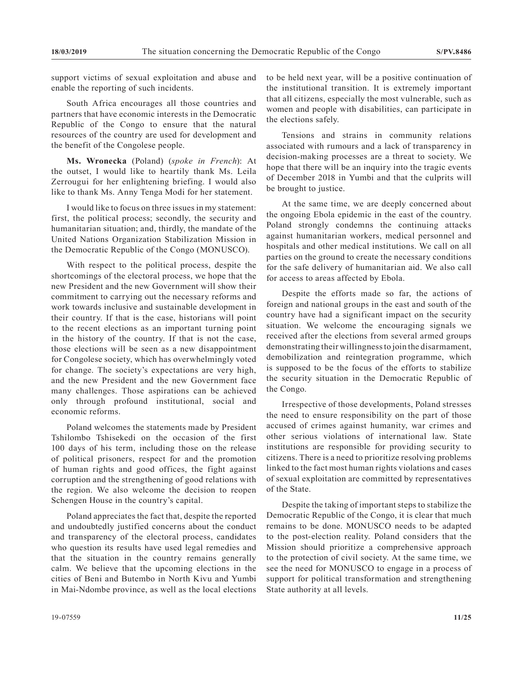support victims of sexual exploitation and abuse and enable the reporting of such incidents.

South Africa encourages all those countries and partners that have economic interests in the Democratic Republic of the Congo to ensure that the natural resources of the country are used for development and the benefit of the Congolese people.

**Ms. Wronecka** (Poland) (*spoke in French*): At the outset, I would like to heartily thank Ms. Leila Zerrougui for her enlightening briefing. I would also like to thank Ms. Anny Tenga Modi for her statement.

I would like to focus on three issues in my statement: first, the political process; secondly, the security and humanitarian situation; and, thirdly, the mandate of the United Nations Organization Stabilization Mission in the Democratic Republic of the Congo (MONUSCO).

With respect to the political process, despite the shortcomings of the electoral process, we hope that the new President and the new Government will show their commitment to carrying out the necessary reforms and work towards inclusive and sustainable development in their country. If that is the case, historians will point to the recent elections as an important turning point in the history of the country. If that is not the case, those elections will be seen as a new disappointment for Congolese society, which has overwhelmingly voted for change. The society's expectations are very high, and the new President and the new Government face many challenges. Those aspirations can be achieved only through profound institutional, social and economic reforms.

Poland welcomes the statements made by President Tshilombo Tshisekedi on the occasion of the first 100 days of his term, including those on the release of political prisoners, respect for and the promotion of human rights and good offices, the fight against corruption and the strengthening of good relations with the region. We also welcome the decision to reopen Schengen House in the country's capital.

Poland appreciates the fact that, despite the reported and undoubtedly justified concerns about the conduct and transparency of the electoral process, candidates who question its results have used legal remedies and that the situation in the country remains generally calm. We believe that the upcoming elections in the cities of Beni and Butembo in North Kivu and Yumbi in Mai-Ndombe province, as well as the local elections

to be held next year, will be a positive continuation of the institutional transition. It is extremely important that all citizens, especially the most vulnerable, such as women and people with disabilities, can participate in the elections safely.

Tensions and strains in community relations associated with rumours and a lack of transparency in decision-making processes are a threat to society. We hope that there will be an inquiry into the tragic events of December 2018 in Yumbi and that the culprits will be brought to justice.

At the same time, we are deeply concerned about the ongoing Ebola epidemic in the east of the country. Poland strongly condemns the continuing attacks against humanitarian workers, medical personnel and hospitals and other medical institutions. We call on all parties on the ground to create the necessary conditions for the safe delivery of humanitarian aid. We also call for access to areas affected by Ebola.

Despite the efforts made so far, the actions of foreign and national groups in the east and south of the country have had a significant impact on the security situation. We welcome the encouraging signals we received after the elections from several armed groups demonstrating their willingness to join the disarmament, demobilization and reintegration programme, which is supposed to be the focus of the efforts to stabilize the security situation in the Democratic Republic of the Congo.

Irrespective of those developments, Poland stresses the need to ensure responsibility on the part of those accused of crimes against humanity, war crimes and other serious violations of international law. State institutions are responsible for providing security to citizens. There is a need to prioritize resolving problems linked to the fact most human rights violations and cases of sexual exploitation are committed by representatives of the State.

Despite the taking of important steps to stabilize the Democratic Republic of the Congo, it is clear that much remains to be done. MONUSCO needs to be adapted to the post-election reality. Poland considers that the Mission should prioritize a comprehensive approach to the protection of civil society. At the same time, we see the need for MONUSCO to engage in a process of support for political transformation and strengthening State authority at all levels.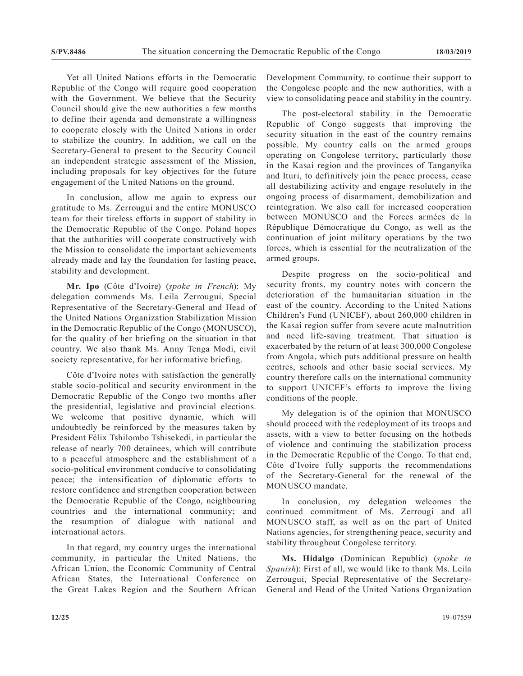Yet all United Nations efforts in the Democratic Republic of the Congo will require good cooperation with the Government. We believe that the Security Council should give the new authorities a few months to define their agenda and demonstrate a willingness to cooperate closely with the United Nations in order to stabilize the country. In addition, we call on the Secretary-General to present to the Security Council an independent strategic assessment of the Mission, including proposals for key objectives for the future engagement of the United Nations on the ground.

In conclusion, allow me again to express our gratitude to Ms. Zerrougui and the entire MONUSCO team for their tireless efforts in support of stability in the Democratic Republic of the Congo. Poland hopes that the authorities will cooperate constructively with the Mission to consolidate the important achievements already made and lay the foundation for lasting peace, stability and development.

**Mr. Ipo** (Côte d'Ivoire) (*spoke in French*): My delegation commends Ms. Leila Zerrougui, Special Representative of the Secretary-General and Head of the United Nations Organization Stabilization Mission in the Democratic Republic of the Congo (MONUSCO), for the quality of her briefing on the situation in that country. We also thank Ms. Annу Tenga Modi, civil society representative, for her informative briefing.

Côte d'Ivoire notes with satisfaction the generally stable socio-political and security environment in the Democratic Republic of the Congo two months after the presidential, legislative and provincial elections. We welcome that positive dynamic, which will undoubtedly be reinforced by the measures taken by President Félix Tshilombo Tshisekedi, in particular the release of nearly 700 detainees, which will contribute to a peaceful atmosphere and the establishment of a socio-political environment conducive to consolidating peace; the intensification of diplomatic efforts to restore confidence and strengthen cooperation between the Democratic Republic of the Congo, neighbouring countries and the international community; and the resumption of dialogue with national and international actors.

In that regard, my country urges the international community, in particular the United Nations, the African Union, the Economic Community of Central African States, the International Conference on the Great Lakes Region and the Southern African Development Community, to continue their support to the Congolese people and the new authorities, with a view to consolidating peace and stability in the country.

The post-electoral stability in the Democratic Republic of Congo suggests that improving the security situation in the east of the country remains possible. My country calls on the armed groups operating on Congolese territory, particularly those in the Kasai region and the provinces of Tanganyika and Ituri, to definitively join the peace process, cease all destabilizing activity and engage resolutely in the ongoing process of disarmament, demobilization and reintegration. We also call for increased cooperation between MONUSCO and the Forces armées de la République Démocratique du Congo, as well as the continuation of joint military operations by the two forces, which is essential for the neutralization of the armed groups.

Despite progress on the socio-political and security fronts, my country notes with concern the deterioration of the humanitarian situation in the east of the country. According to the United Nations Children's Fund (UNICEF), about 260,000 children in the Kasai region suffer from severe acute malnutrition and need life-saving treatment. That situation is exacerbated by the return of at least 300,000 Congolese from Angola, which puts additional pressure on health centres, schools and other basic social services. My country therefore calls on the international community to support UNICEF's efforts to improve the living conditions of the people.

My delegation is of the opinion that MONUSCO should proceed with the redeployment of its troops and assets, with a view to better focusing on the hotbeds of violence and continuing the stabilization process in the Democratic Republic of the Congo. To that end, Côte d'Ivoire fully supports the recommendations of the Secretary-General for the renewal of the MONUSCO mandate.

In conclusion, my delegation welcomes the continued commitment of Ms. Zerrougi and all MONUSCO staff, as well as on the part of United Nations agencies, for strengthening peace, security and stability throughout Congolese territory.

**Ms. Hidalgo** (Dominican Republic) (*spoke in Spanish*): First of all, we would like to thank Ms. Leila Zerrougui, Special Representative of the Secretary-General and Head of the United Nations Organization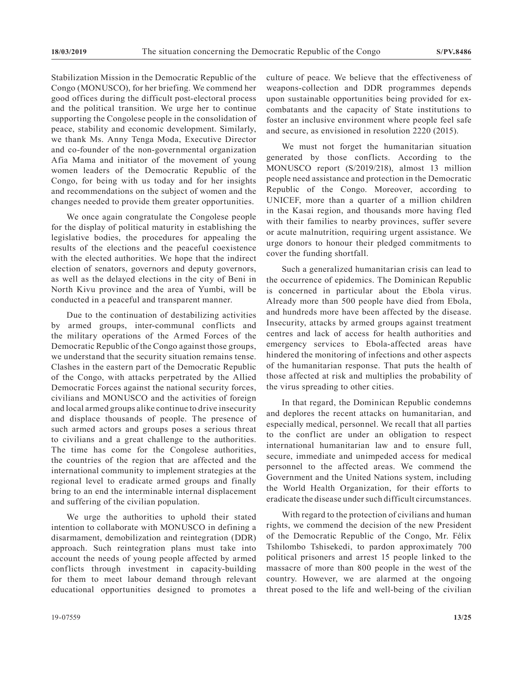Stabilization Mission in the Democratic Republic of the Congo (MONUSCO), for her briefing. We commend her good offices during the difficult post-electoral process and the political transition. We urge her to continue supporting the Congolese people in the consolidation of peace, stability and economic development. Similarly, we thank Ms. Annу Tenga Moda, Executive Director and co-founder of the non-governmental organization Afia Mama and initiator of the movement of young women leaders of the Democratic Republic of the Congo, for being with us today and for her insights and recommendations on the subject of women and the changes needed to provide them greater opportunities.

We once again congratulate the Congolese people for the display of political maturity in establishing the legislative bodies, the procedures for appealing the results of the elections and the peaceful coexistence with the elected authorities. We hope that the indirect election of senators, governors and deputy governors, as well as the delayed elections in the city of Beni in North Kivu province and the area of Yumbi, will be conducted in a peaceful and transparent manner.

Due to the continuation of destabilizing activities by armed groups, inter-communal conflicts and the military operations of the Armed Forces of the Democratic Republic of the Congo against those groups, we understand that the security situation remains tense. Clashes in the eastern part of the Democratic Republic of the Congo, with attacks perpetrated by the Allied Democratic Forces against the national security forces, civilians and MONUSCO and the activities of foreign and local armed groups alike continue to drive insecurity and displace thousands of people. The presence of such armed actors and groups poses a serious threat to civilians and a great challenge to the authorities. The time has come for the Congolese authorities, the countries of the region that are affected and the international community to implement strategies at the regional level to eradicate armed groups and finally bring to an end the interminable internal displacement and suffering of the civilian population.

We urge the authorities to uphold their stated intention to collaborate with MONUSCO in defining a disarmament, demobilization and reintegration (DDR) approach. Such reintegration plans must take into account the needs of young people affected by armed conflicts through investment in capacity-building for them to meet labour demand through relevant educational opportunities designed to promotes a culture of peace. We believe that the effectiveness of weapons-collection and DDR programmes depends upon sustainable opportunities being provided for excombatants and the capacity of State institutions to foster an inclusive environment where people feel safe and secure, as envisioned in resolution 2220 (2015).

We must not forget the humanitarian situation generated by those conflicts. According to the MONUSCO report (S/2019/218), almost 13 million people need assistance and protection in the Democratic Republic of the Congo. Moreover, according to UNICEF, more than a quarter of a million children in the Kasai region, and thousands more having fled with their families to nearby provinces, suffer severe or acute malnutrition, requiring urgent assistance. We urge donors to honour their pledged commitments to cover the funding shortfall.

Such a generalized humanitarian crisis can lead to the occurrence of epidemics. The Dominican Republic is concerned in particular about the Ebola virus. Already more than 500 people have died from Ebola, and hundreds more have been affected by the disease. Insecurity, attacks by armed groups against treatment centres and lack of access for health authorities and emergency services to Ebola-affected areas have hindered the monitoring of infections and other aspects of the humanitarian response. That puts the health of those affected at risk and multiplies the probability of the virus spreading to other cities.

In that regard, the Dominican Republic condemns and deplores the recent attacks on humanitarian, and especially medical, personnel. We recall that all parties to the conflict are under an obligation to respect international humanitarian law and to ensure full, secure, immediate and unimpeded access for medical personnel to the affected areas. We commend the Government and the United Nations system, including the World Health Organization, for their efforts to eradicate the disease under such difficult circumstances.

With regard to the protection of civilians and human rights, we commend the decision of the new President of the Democratic Republic of the Congo, Mr. Félix Tshilombo Tshisekedi, to pardon approximately 700 political prisoners and arrest 15 people linked to the massacre of more than 800 people in the west of the country. However, we are alarmed at the ongoing threat posed to the life and well-being of the civilian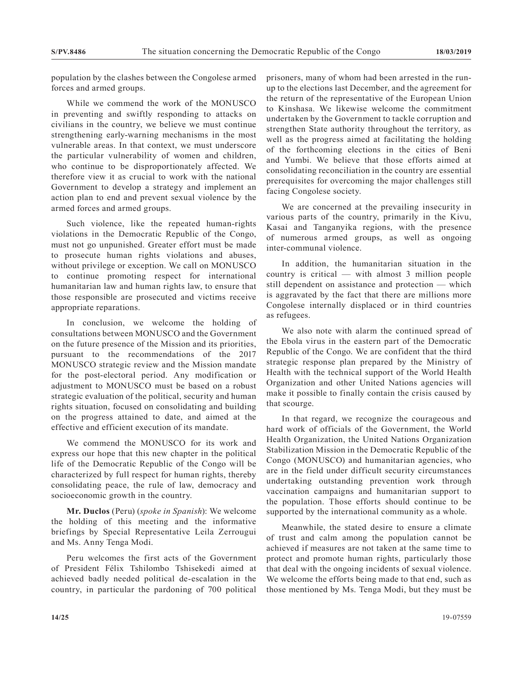population by the clashes between the Congolese armed forces and armed groups.

While we commend the work of the MONUSCO in preventing and swiftly responding to attacks on civilians in the country, we believe we must continue strengthening early-warning mechanisms in the most vulnerable areas. In that context, we must underscore the particular vulnerability of women and children, who continue to be disproportionately affected. We therefore view it as crucial to work with the national Government to develop a strategy and implement an action plan to end and prevent sexual violence by the armed forces and armed groups.

Such violence, like the repeated human-rights violations in the Democratic Republic of the Congo, must not go unpunished. Greater effort must be made to prosecute human rights violations and abuses, without privilege or exception. We call on MONUSCO to continue promoting respect for international humanitarian law and human rights law, to ensure that those responsible are prosecuted and victims receive appropriate reparations.

In conclusion, we welcome the holding of consultations between MONUSCO and the Government on the future presence of the Mission and its priorities, pursuant to the recommendations of the 2017 MONUSCO strategic review and the Mission mandate for the post-electoral period. Any modification or adjustment to MONUSCO must be based on a robust strategic evaluation of the political, security and human rights situation, focused on consolidating and building on the progress attained to date, and aimed at the effective and efficient execution of its mandate.

We commend the MONUSCO for its work and express our hope that this new chapter in the political life of the Democratic Republic of the Congo will be characterized by full respect for human rights, thereby consolidating peace, the rule of law, democracy and socioeconomic growth in the country.

**Mr. Duclos** (Peru) (*spoke in Spanish*): We welcome the holding of this meeting and the informative briefings by Special Representative Leila Zerrougui and Ms. Anny Tenga Modi.

Peru welcomes the first acts of the Government of President Félix Tshilombo Tshisekedi aimed at achieved badly needed political de-escalation in the country, in particular the pardoning of 700 political

prisoners, many of whom had been arrested in the runup to the elections last December, and the agreement for the return of the representative of the European Union to Kinshasa. We likewise welcome the commitment undertaken by the Government to tackle corruption and strengthen State authority throughout the territory, as well as the progress aimed at facilitating the holding of the forthcoming elections in the cities of Beni and Yumbi. We believe that those efforts aimed at consolidating reconciliation in the country are essential prerequisites for overcoming the major challenges still facing Congolese society.

We are concerned at the prevailing insecurity in various parts of the country, primarily in the Kivu, Kasai and Tanganyika regions, with the presence of numerous armed groups, as well as ongoing inter-communal violence.

In addition, the humanitarian situation in the country is critical — with almost 3 million people still dependent on assistance and protection — which is aggravated by the fact that there are millions more Congolese internally displaced or in third countries as refugees.

We also note with alarm the continued spread of the Ebola virus in the eastern part of the Democratic Republic of the Congo. We are confident that the third strategic response plan prepared by the Ministry of Health with the technical support of the World Health Organization and other United Nations agencies will make it possible to finally contain the crisis caused by that scourge.

In that regard, we recognize the courageous and hard work of officials of the Government, the World Health Organization, the United Nations Organization Stabilization Mission in the Democratic Republic of the Congo (MONUSCO) and humanitarian agencies, who are in the field under difficult security circumstances undertaking outstanding prevention work through vaccination campaigns and humanitarian support to the population. Those efforts should continue to be supported by the international community as a whole.

Meanwhile, the stated desire to ensure a climate of trust and calm among the population cannot be achieved if measures are not taken at the same time to protect and promote human rights, particularly those that deal with the ongoing incidents of sexual violence. We welcome the efforts being made to that end, such as those mentioned by Ms. Tenga Modi, but they must be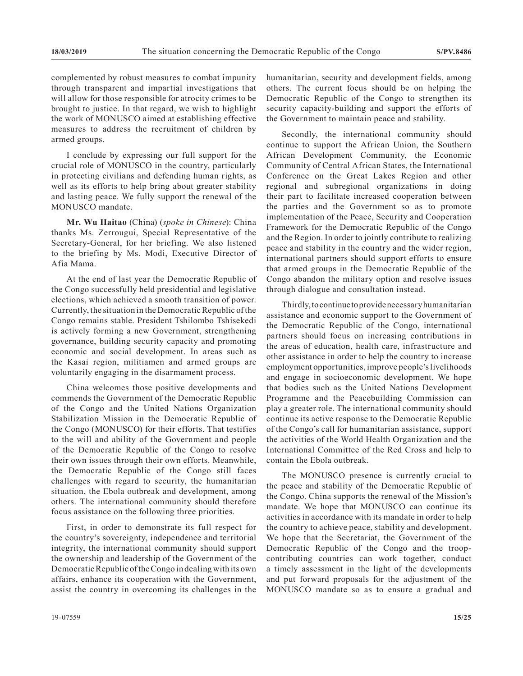complemented by robust measures to combat impunity through transparent and impartial investigations that will allow for those responsible for atrocity crimes to be brought to justice. In that regard, we wish to highlight the work of MONUSCO aimed at establishing effective measures to address the recruitment of children by armed groups.

I conclude by expressing our full support for the crucial role of MONUSCO in the country, particularly in protecting civilians and defending human rights, as well as its efforts to help bring about greater stability and lasting peace. We fully support the renewal of the MONUSCO mandate.

**Mr. Wu Haitao** (China) (*spoke in Chinese*): China thanks Ms. Zerrougui, Special Representative of the Secretary-General, for her briefing. We also listened to the briefing by Ms. Modi, Executive Director of Afia Mama.

At the end of last year the Democratic Republic of the Congo successfully held presidential and legislative elections, which achieved a smooth transition of power. Currently, the situation in the Democratic Republic of the Congo remains stable. President Tshilombo Tshisekedi is actively forming a new Government, strengthening governance, building security capacity and promoting economic and social development. In areas such as the Kasai region, militiamen and armed groups are voluntarily engaging in the disarmament process.

China welcomes those positive developments and commends the Government of the Democratic Republic of the Congo and the United Nations Organization Stabilization Mission in the Democratic Republic of the Congo (MONUSCO) for their efforts. That testifies to the will and ability of the Government and people of the Democratic Republic of the Congo to resolve their own issues through their own efforts. Meanwhile, the Democratic Republic of the Congo still faces challenges with regard to security, the humanitarian situation, the Ebola outbreak and development, among others. The international community should therefore focus assistance on the following three priorities.

First, in order to demonstrate its full respect for the country's sovereignty, independence and territorial integrity, the international community should support the ownership and leadership of the Government of the Democratic Republic of the Congo in dealing with its own affairs, enhance its cooperation with the Government, assist the country in overcoming its challenges in the

humanitarian, security and development fields, among others. The current focus should be on helping the Democratic Republic of the Congo to strengthen its security capacity-building and support the efforts of the Government to maintain peace and stability.

Secondly, the international community should continue to support the African Union, the Southern African Development Community, the Economic Community of Central African States, the International Conference on the Great Lakes Region and other regional and subregional organizations in doing their part to facilitate increased cooperation between the parties and the Government so as to promote implementation of the Peace, Security and Cooperation Framework for the Democratic Republic of the Congo and the Region. In order to jointly contribute to realizing peace and stability in the country and the wider region, international partners should support efforts to ensure that armed groups in the Democratic Republic of the Congo abandon the military option and resolve issues through dialogue and consultation instead.

Thirdly, to continue to provide necessary humanitarian assistance and economic support to the Government of the Democratic Republic of the Congo, international partners should focus on increasing contributions in the areas of education, health care, infrastructure and other assistance in order to help the country to increase employment opportunities, improve people's livelihoods and engage in socioeconomic development. We hope that bodies such as the United Nations Development Programme and the Peacebuilding Commission can play a greater role. The international community should continue its active response to the Democratic Republic of the Congo's call for humanitarian assistance, support the activities of the World Health Organization and the International Committee of the Red Cross and help to contain the Ebola outbreak.

The MONUSCO presence is currently crucial to the peace and stability of the Democratic Republic of the Congo. China supports the renewal of the Mission's mandate. We hope that MONUSCO can continue its activities in accordance with its mandate in order to help the country to achieve peace, stability and development. We hope that the Secretariat, the Government of the Democratic Republic of the Congo and the troopcontributing countries can work together, conduct a timely assessment in the light of the developments and put forward proposals for the adjustment of the MONUSCO mandate so as to ensure a gradual and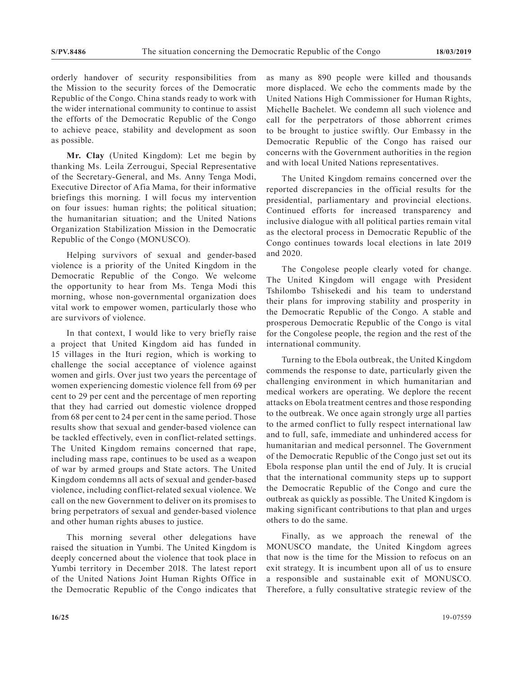orderly handover of security responsibilities from the Mission to the security forces of the Democratic Republic of the Congo. China stands ready to work with the wider international community to continue to assist the efforts of the Democratic Republic of the Congo to achieve peace, stability and development as soon as possible.

**Mr. Clay** (United Kingdom): Let me begin by thanking Ms. Leila Zerrougui, Special Representative of the Secretary-General, and Ms. Annу Tenga Modi, Executive Director of Afia Mama, for their informative briefings this morning. I will focus my intervention on four issues: human rights; the political situation; the humanitarian situation; and the United Nations Organization Stabilization Mission in the Democratic Republic of the Congo (MONUSCO).

Helping survivors of sexual and gender-based violence is a priority of the United Kingdom in the Democratic Republic of the Congo. We welcome the opportunity to hear from Ms. Tenga Modi this morning, whose non-governmental organization does vital work to empower women, particularly those who are survivors of violence.

In that context, I would like to very briefly raise a project that United Kingdom aid has funded in 15 villages in the Ituri region, which is working to challenge the social acceptance of violence against women and girls. Over just two years the percentage of women experiencing domestic violence fell from 69 per cent to 29 per cent and the percentage of men reporting that they had carried out domestic violence dropped from 68 per cent to 24 per cent in the same period. Those results show that sexual and gender-based violence can be tackled effectively, even in conflict-related settings. The United Kingdom remains concerned that rape, including mass rape, continues to be used as a weapon of war by armed groups and State actors. The United Kingdom condemns all acts of sexual and gender-based violence, including conflict-related sexual violence. We call on the new Government to deliver on its promises to bring perpetrators of sexual and gender-based violence and other human rights abuses to justice.

This morning several other delegations have raised the situation in Yumbi. The United Kingdom is deeply concerned about the violence that took place in Yumbi territory in December 2018. The latest report of the United Nations Joint Human Rights Office in the Democratic Republic of the Congo indicates that as many as 890 people were killed and thousands more displaced. We echo the comments made by the United Nations High Commissioner for Human Rights, Michelle Bachelet. We condemn all such violence and call for the perpetrators of those abhorrent crimes to be brought to justice swiftly. Our Embassy in the Democratic Republic of the Congo has raised our concerns with the Government authorities in the region and with local United Nations representatives.

The United Kingdom remains concerned over the reported discrepancies in the official results for the presidential, parliamentary and provincial elections. Continued efforts for increased transparency and inclusive dialogue with all political parties remain vital as the electoral process in Democratic Republic of the Congo continues towards local elections in late 2019 and 2020.

The Congolese people clearly voted for change. The United Kingdom will engage with President Tshilombo Tshisekedi and his team to understand their plans for improving stability and prosperity in the Democratic Republic of the Congo. A stable and prosperous Democratic Republic of the Congo is vital for the Congolese people, the region and the rest of the international community.

Turning to the Ebola outbreak, the United Kingdom commends the response to date, particularly given the challenging environment in which humanitarian and medical workers are operating. We deplore the recent attacks on Ebola treatment centres and those responding to the outbreak. We once again strongly urge all parties to the armed conflict to fully respect international law and to full, safe, immediate and unhindered access for humanitarian and medical personnel. The Government of the Democratic Republic of the Congo just set out its Ebola response plan until the end of July. It is crucial that the international community steps up to support the Democratic Republic of the Congo and cure the outbreak as quickly as possible. The United Kingdom is making significant contributions to that plan and urges others to do the same.

Finally, as we approach the renewal of the MONUSCO mandate, the United Kingdom agrees that now is the time for the Mission to refocus on an exit strategy. It is incumbent upon all of us to ensure a responsible and sustainable exit of MONUSCO. Therefore, a fully consultative strategic review of the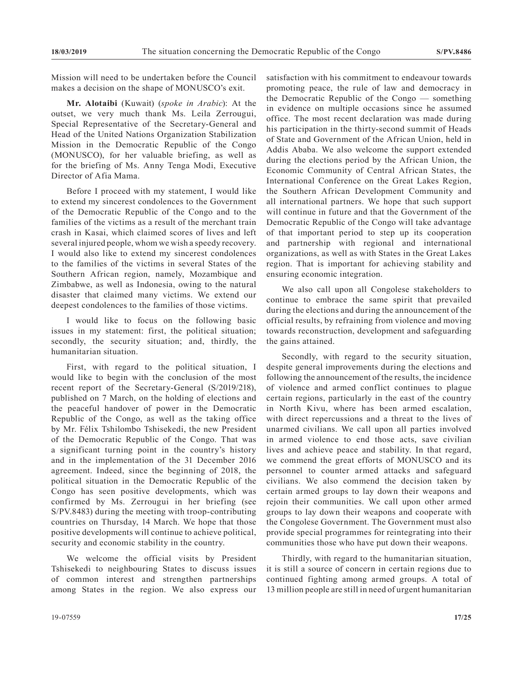Mission will need to be undertaken before the Council makes a decision on the shape of MONUSCO's exit.

**Mr. Alotaibi** (Kuwait) (*spoke in Arabic*): At the outset, we very much thank Ms. Leila Zerrougui, Special Representative of the Secretary-General and Head of the United Nations Organization Stabilization Mission in the Democratic Republic of the Congo (MONUSCO), for her valuable briefing, as well as for the briefing of Ms. Anny Tenga Modi, Executive Director of Afia Mama.

Before I proceed with my statement, I would like to extend my sincerest condolences to the Government of the Democratic Republic of the Congo and to the families of the victims as a result of the merchant train crash in Kasai, which claimed scores of lives and left several injured people, whom we wish a speedy recovery. I would also like to extend my sincerest condolences to the families of the victims in several States of the Southern African region, namely, Mozambique and Zimbabwe, as well as Indonesia, owing to the natural disaster that claimed many victims. We extend our deepest condolences to the families of those victims.

I would like to focus on the following basic issues in my statement: first, the political situation; secondly, the security situation; and, thirdly, the humanitarian situation.

First, with regard to the political situation, I would like to begin with the conclusion of the most recent report of the Secretary-General (S/2019/218), published on 7 March, on the holding of elections and the peaceful handover of power in the Democratic Republic of the Congo, as well as the taking office by Mr. Félix Tshilombo Tshisekedi, the new President of the Democratic Republic of the Congo. That was a significant turning point in the country's history and in the implementation of the 31 December 2016 agreement. Indeed, since the beginning of 2018, the political situation in the Democratic Republic of the Congo has seen positive developments, which was confirmed by Ms. Zerrougui in her briefing (see S/PV.8483) during the meeting with troop-contributing countries on Thursday, 14 March. We hope that those positive developments will continue to achieve political, security and economic stability in the country.

We welcome the official visits by President Tshisekedi to neighbouring States to discuss issues of common interest and strengthen partnerships among States in the region. We also express our

satisfaction with his commitment to endeavour towards promoting peace, the rule of law and democracy in the Democratic Republic of the Congo — something in evidence on multiple occasions since he assumed office. The most recent declaration was made during his participation in the thirty-second summit of Heads of State and Government of the African Union, held in Addis Ababa. We also welcome the support extended during the elections period by the African Union, the Economic Community of Central African States, the International Conference on the Great Lakes Region, the Southern African Development Community and all international partners. We hope that such support will continue in future and that the Government of the Democratic Republic of the Congo will take advantage of that important period to step up its cooperation and partnership with regional and international organizations, as well as with States in the Great Lakes region. That is important for achieving stability and ensuring economic integration.

We also call upon all Congolese stakeholders to continue to embrace the same spirit that prevailed during the elections and during the announcement of the official results, by refraining from violence and moving towards reconstruction, development and safeguarding the gains attained.

Secondly, with regard to the security situation, despite general improvements during the elections and following the announcement of the results, the incidence of violence and armed conflict continues to plague certain regions, particularly in the east of the country in North Kivu, where has been armed escalation, with direct repercussions and a threat to the lives of unarmed civilians. We call upon all parties involved in armed violence to end those acts, save civilian lives and achieve peace and stability. In that regard, we commend the great efforts of MONUSCO and its personnel to counter armed attacks and safeguard civilians. We also commend the decision taken by certain armed groups to lay down their weapons and rejoin their communities. We call upon other armed groups to lay down their weapons and cooperate with the Congolese Government. The Government must also provide special programmes for reintegrating into their communities those who have put down their weapons.

Thirdly, with regard to the humanitarian situation, it is still a source of concern in certain regions due to continued fighting among armed groups. A total of 13 million people are still in need of urgent humanitarian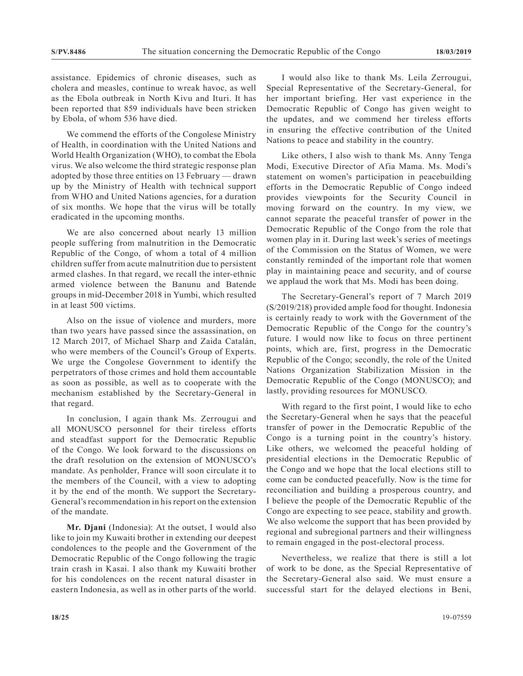assistance. Epidemics of chronic diseases, such as cholera and measles, continue to wreak havoc, as well as the Ebola outbreak in North Kivu and Ituri. It has been reported that 859 individuals have been stricken by Ebola, of whom 536 have died.

We commend the efforts of the Congolese Ministry of Health, in coordination with the United Nations and World Health Organization (WHO), to combat the Ebola virus. We also welcome the third strategic response plan adopted by those three entities on 13 February — drawn up by the Ministry of Health with technical support from WHO and United Nations agencies, for a duration of six months. We hope that the virus will be totally eradicated in the upcoming months.

We are also concerned about nearly 13 million people suffering from malnutrition in the Democratic Republic of the Congo, of whom a total of 4 million children suffer from acute malnutrition due to persistent armed clashes. In that regard, we recall the inter-ethnic armed violence between the Banunu and Batende groups in mid-December 2018 in Yumbi, which resulted in at least 500 victims.

Also on the issue of violence and murders, more than two years have passed since the assassination, on 12 March 2017, of Michael Sharp and Zaida Catalán, who were members of the Council's Group of Experts. We urge the Congolese Government to identify the perpetrators of those crimes and hold them accountable as soon as possible, as well as to cooperate with the mechanism established by the Secretary-General in that regard.

In conclusion, I again thank Ms. Zerrougui and all MONUSCO personnel for their tireless efforts and steadfast support for the Democratic Republic of the Congo. We look forward to the discussions on the draft resolution on the extension of MONUSCO's mandate. As penholder, France will soon circulate it to the members of the Council, with a view to adopting it by the end of the month. We support the Secretary-General's recommendation in his report on the extension of the mandate.

**Mr. Djani** (Indonesia): At the outset, I would also like to join my Kuwaiti brother in extending our deepest condolences to the people and the Government of the Democratic Republic of the Congo following the tragic train crash in Kasai. I also thank my Kuwaiti brother for his condolences on the recent natural disaster in eastern Indonesia, as well as in other parts of the world.

I would also like to thank Ms. Leila Zerrougui, Special Representative of the Secretary-General, for her important briefing. Her vast experience in the Democratic Republic of Congo has given weight to the updates, and we commend her tireless efforts in ensuring the effective contribution of the United Nations to peace and stability in the country.

Like others, I also wish to thank Ms. Anny Tenga Modi, Executive Director of Afia Mama. Ms. Modi's statement on women's participation in peacebuilding efforts in the Democratic Republic of Congo indeed provides viewpoints for the Security Council in moving forward on the country. In my view, we cannot separate the peaceful transfer of power in the Democratic Republic of the Congo from the role that women play in it. During last week's series of meetings of the Commission on the Status of Women, we were constantly reminded of the important role that women play in maintaining peace and security, and of course we applaud the work that Ms. Modi has been doing.

The Secretary-General's report of 7 March 2019 (S/2019/218) provided ample food for thought. Indonesia is certainly ready to work with the Government of the Democratic Republic of the Congo for the country's future. I would now like to focus on three pertinent points, which are, first, progress in the Democratic Republic of the Congo; secondly, the role of the United Nations Organization Stabilization Mission in the Democratic Republic of the Congo (MONUSCO); and lastly, providing resources for MONUSCO.

With regard to the first point, I would like to echo the Secretary-General when he says that the peaceful transfer of power in the Democratic Republic of the Congo is a turning point in the country's history. Like others, we welcomed the peaceful holding of presidential elections in the Democratic Republic of the Congo and we hope that the local elections still to come can be conducted peacefully. Now is the time for reconciliation and building a prosperous country, and I believe the people of the Democratic Republic of the Congo are expecting to see peace, stability and growth. We also welcome the support that has been provided by regional and subregional partners and their willingness to remain engaged in the post-electoral process.

Nevertheless, we realize that there is still a lot of work to be done, as the Special Representative of the Secretary-General also said. We must ensure a successful start for the delayed elections in Beni,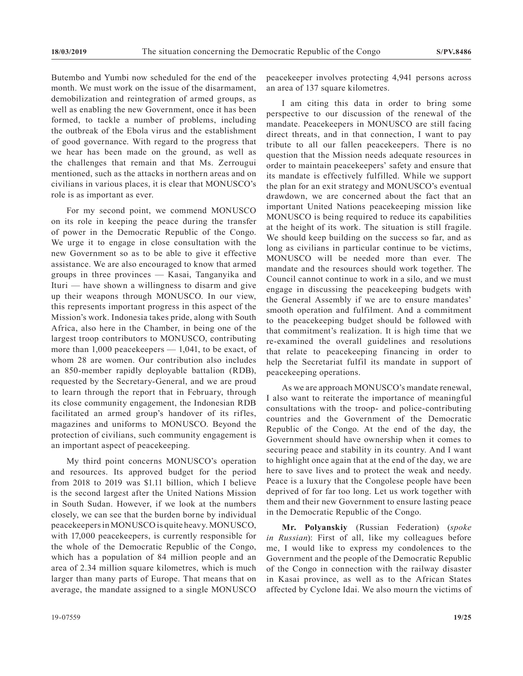Butembo and Yumbi now scheduled for the end of the month. We must work on the issue of the disarmament, demobilization and reintegration of armed groups, as well as enabling the new Government, once it has been formed, to tackle a number of problems, including the outbreak of the Ebola virus and the establishment of good governance. With regard to the progress that we hear has been made on the ground, as well as the challenges that remain and that Ms. Zerrougui mentioned, such as the attacks in northern areas and on civilians in various places, it is clear that MONUSCO's role is as important as ever.

For my second point, we commend MONUSCO on its role in keeping the peace during the transfer of power in the Democratic Republic of the Congo. We urge it to engage in close consultation with the new Government so as to be able to give it effective assistance. We are also encouraged to know that armed groups in three provinces — Kasai, Tanganyika and Ituri — have shown a willingness to disarm and give up their weapons through MONUSCO. In our view, this represents important progress in this aspect of the Mission's work. Indonesia takes pride, along with South Africa, also here in the Chamber, in being one of the largest troop contributors to MONUSCO, contributing more than  $1,000$  peacekeepers  $-1,041$ , to be exact, of whom 28 are women. Our contribution also includes an 850-member rapidly deployable battalion (RDB), requested by the Secretary-General, and we are proud to learn through the report that in February, through its close community engagement, the Indonesian RDB facilitated an armed group's handover of its rifles, magazines and uniforms to MONUSCO. Beyond the protection of civilians, such community engagement is an important aspect of peacekeeping.

My third point concerns MONUSCO's operation and resources. Its approved budget for the period from 2018 to 2019 was \$1.11 billion, which I believe is the second largest after the United Nations Mission in South Sudan. However, if we look at the numbers closely, we can see that the burden borne by individual peacekeepers in MONUSCO is quite heavy. MONUSCO, with 17,000 peacekeepers, is currently responsible for the whole of the Democratic Republic of the Congo, which has a population of 84 million people and an area of 2.34 million square kilometres, which is much larger than many parts of Europe. That means that on average, the mandate assigned to a single MONUSCO

peacekeeper involves protecting 4,941 persons across an area of 137 square kilometres.

I am citing this data in order to bring some perspective to our discussion of the renewal of the mandate. Peacekeepers in MONUSCO are still facing direct threats, and in that connection, I want to pay tribute to all our fallen peacekeepers. There is no question that the Mission needs adequate resources in order to maintain peacekeepers' safety and ensure that its mandate is effectively fulfilled. While we support the plan for an exit strategy and MONUSCO's eventual drawdown, we are concerned about the fact that an important United Nations peacekeeping mission like MONUSCO is being required to reduce its capabilities at the height of its work. The situation is still fragile. We should keep building on the success so far, and as long as civilians in particular continue to be victims, MONUSCO will be needed more than ever. The mandate and the resources should work together. The Council cannot continue to work in a silo, and we must engage in discussing the peacekeeping budgets with the General Assembly if we are to ensure mandates' smooth operation and fulfilment. And a commitment to the peacekeeping budget should be followed with that commitment's realization. It is high time that we re-examined the overall guidelines and resolutions that relate to peacekeeping financing in order to help the Secretariat fulfil its mandate in support of peacekeeping operations.

As we are approach MONUSCO's mandate renewal, I also want to reiterate the importance of meaningful consultations with the troop- and police-contributing countries and the Government of the Democratic Republic of the Congo. At the end of the day, the Government should have ownership when it comes to securing peace and stability in its country. And I want to highlight once again that at the end of the day, we are here to save lives and to protect the weak and needy. Peace is a luxury that the Congolese people have been deprived of for far too long. Let us work together with them and their new Government to ensure lasting peace in the Democratic Republic of the Congo.

**Mr. Polyanskiy** (Russian Federation) (*spoke in Russian*): First of all, like my colleagues before me, I would like to express my condolences to the Government and the people of the Democratic Republic of the Congo in connection with the railway disaster in Kasai province, as well as to the African States affected by Cyclone Idai. We also mourn the victims of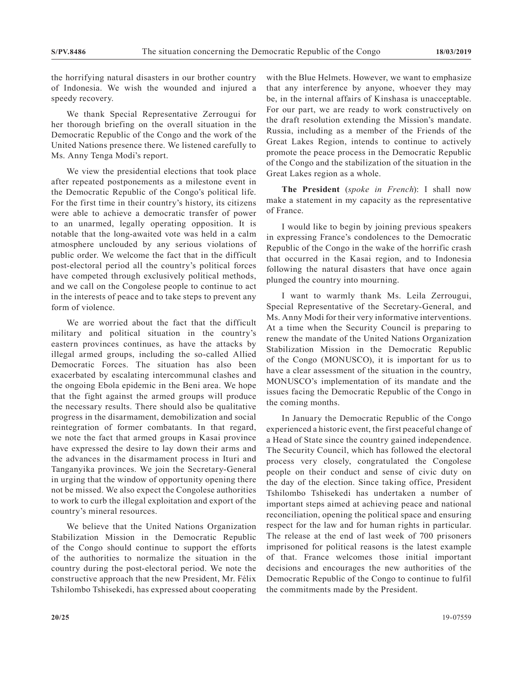the horrifying natural disasters in our brother country of Indonesia. We wish the wounded and injured a speedy recovery.

We thank Special Representative Zerrougui for her thorough briefing on the overall situation in the Democratic Republic of the Congo and the work of the United Nations presence there. We listened carefully to Ms. Anny Tenga Modi's report.

We view the presidential elections that took place after repeated postponements as a milestone event in the Democratic Republic of the Congo's political life. For the first time in their country's history, its citizens were able to achieve a democratic transfer of power to an unarmed, legally operating opposition. It is notable that the long-awaited vote was held in a calm atmosphere unclouded by any serious violations of public order. We welcome the fact that in the difficult post-electoral period all the country's political forces have competed through exclusively political methods, and we call on the Congolese people to continue to act in the interests of peace and to take steps to prevent any form of violence.

We are worried about the fact that the difficult military and political situation in the country's eastern provinces continues, as have the attacks by illegal armed groups, including the so-called Allied Democratic Forces. The situation has also been exacerbated by escalating intercommunal clashes and the ongoing Ebola epidemic in the Beni area. We hope that the fight against the armed groups will produce the necessary results. There should also be qualitative progress in the disarmament, demobilization and social reintegration of former combatants. In that regard, we note the fact that armed groups in Kasai province have expressed the desire to lay down their arms and the advances in the disarmament process in Ituri and Tanganyika provinces. We join the Secretary-General in urging that the window of opportunity opening there not be missed. We also expect the Congolese authorities to work to curb the illegal exploitation and export of the country's mineral resources.

We believe that the United Nations Organization Stabilization Mission in the Democratic Republic of the Congo should continue to support the efforts of the authorities to normalize the situation in the country during the post-electoral period. We note the constructive approach that the new President, Mr. Félix Tshilombo Tshisekedi, has expressed about cooperating

with the Blue Helmets. However, we want to emphasize that any interference by anyone, whoever they may be, in the internal affairs of Kinshasa is unacceptable. For our part, we are ready to work constructively on the draft resolution extending the Mission's mandate. Russia, including as a member of the Friends of the Great Lakes Region, intends to continue to actively promote the peace process in the Democratic Republic of the Congo and the stabilization of the situation in the Great Lakes region as a whole.

**The President** (*spoke in French*): I shall now make a statement in my capacity as the representative of France.

I would like to begin by joining previous speakers in expressing France's condolences to the Democratic Republic of the Congo in the wake of the horrific crash that occurred in the Kasai region, and to Indonesia following the natural disasters that have once again plunged the country into mourning.

I want to warmly thank Ms. Leila Zerrougui, Special Representative of the Secretary-General, and Ms. Anny Modi for their very informative interventions. At a time when the Security Council is preparing to renew the mandate of the United Nations Organization Stabilization Mission in the Democratic Republic of the Congo (MONUSCO), it is important for us to have a clear assessment of the situation in the country, MONUSCO's implementation of its mandate and the issues facing the Democratic Republic of the Congo in the coming months.

In January the Democratic Republic of the Congo experienced a historic event, the first peaceful change of a Head of State since the country gained independence. The Security Council, which has followed the electoral process very closely, congratulated the Congolese people on their conduct and sense of civic duty on the day of the election. Since taking office, President Tshilombo Tshisekedi has undertaken a number of important steps aimed at achieving peace and national reconciliation, opening the political space and ensuring respect for the law and for human rights in particular. The release at the end of last week of 700 prisoners imprisoned for political reasons is the latest example of that. France welcomes those initial important decisions and encourages the new authorities of the Democratic Republic of the Congo to continue to fulfil the commitments made by the President.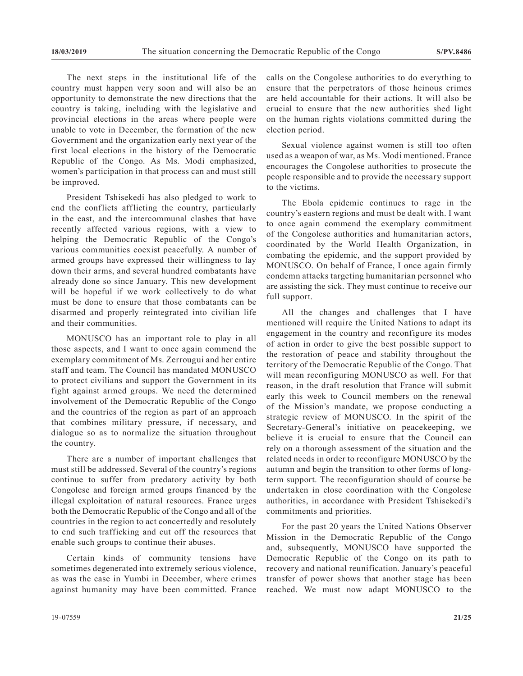The next steps in the institutional life of the country must happen very soon and will also be an opportunity to demonstrate the new directions that the country is taking, including with the legislative and provincial elections in the areas where people were unable to vote in December, the formation of the new Government and the organization early next year of the first local elections in the history of the Democratic Republic of the Congo. As Ms. Modi emphasized, women's participation in that process can and must still be improved.

President Tshisekedi has also pledged to work to end the conflicts afflicting the country, particularly in the east, and the intercommunal clashes that have recently affected various regions, with a view to helping the Democratic Republic of the Congo's various communities coexist peacefully. A number of armed groups have expressed their willingness to lay down their arms, and several hundred combatants have already done so since January. This new development will be hopeful if we work collectively to do what must be done to ensure that those combatants can be disarmed and properly reintegrated into civilian life and their communities.

MONUSCO has an important role to play in all those aspects, and I want to once again commend the exemplary commitment of Ms. Zerrougui and her entire staff and team. The Council has mandated MONUSCO to protect civilians and support the Government in its fight against armed groups. We need the determined involvement of the Democratic Republic of the Congo and the countries of the region as part of an approach that combines military pressure, if necessary, and dialogue so as to normalize the situation throughout the country.

There are a number of important challenges that must still be addressed. Several of the country's regions continue to suffer from predatory activity by both Congolese and foreign armed groups financed by the illegal exploitation of natural resources. France urges both the Democratic Republic of the Congo and all of the countries in the region to act concertedly and resolutely to end such trafficking and cut off the resources that enable such groups to continue their abuses.

Certain kinds of community tensions have sometimes degenerated into extremely serious violence, as was the case in Yumbi in December, where crimes against humanity may have been committed. France calls on the Congolese authorities to do everything to ensure that the perpetrators of those heinous crimes are held accountable for their actions. It will also be crucial to ensure that the new authorities shed light on the human rights violations committed during the election period.

Sexual violence against women is still too often used as a weapon of war, as Ms. Modi mentioned. France encourages the Congolese authorities to prosecute the people responsible and to provide the necessary support to the victims.

The Ebola epidemic continues to rage in the country's eastern regions and must be dealt with. I want to once again commend the exemplary commitment of the Congolese authorities and humanitarian actors, coordinated by the World Health Organization, in combating the epidemic, and the support provided by MONUSCO. On behalf of France, I once again firmly condemn attacks targeting humanitarian personnel who are assisting the sick. They must continue to receive our full support.

All the changes and challenges that I have mentioned will require the United Nations to adapt its engagement in the country and reconfigure its modes of action in order to give the best possible support to the restoration of peace and stability throughout the territory of the Democratic Republic of the Congo. That will mean reconfiguring MONUSCO as well. For that reason, in the draft resolution that France will submit early this week to Council members on the renewal of the Mission's mandate, we propose conducting a strategic review of MONUSCO. In the spirit of the Secretary-General's initiative on peacekeeping, we believe it is crucial to ensure that the Council can rely on a thorough assessment of the situation and the related needs in order to reconfigure MONUSCO by the autumn and begin the transition to other forms of longterm support. The reconfiguration should of course be undertaken in close coordination with the Congolese authorities, in accordance with President Tshisekedi's commitments and priorities.

For the past 20 years the United Nations Observer Mission in the Democratic Republic of the Congo and, subsequently, MONUSCO have supported the Democratic Republic of the Congo on its path to recovery and national reunification. January's peaceful transfer of power shows that another stage has been reached. We must now adapt MONUSCO to the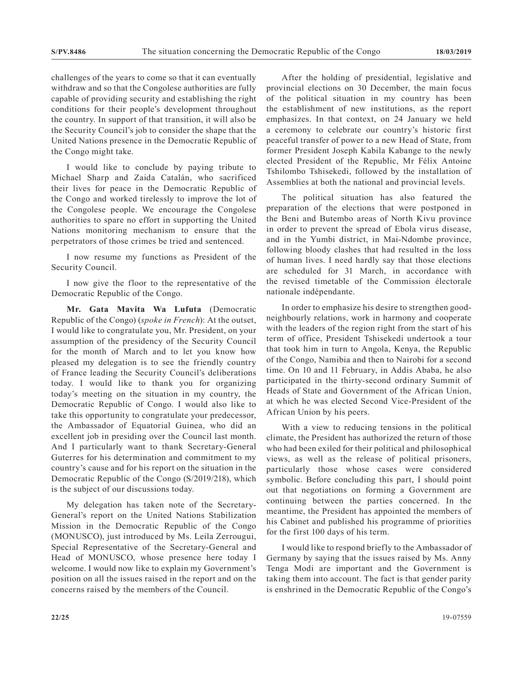challenges of the years to come so that it can eventually withdraw and so that the Congolese authorities are fully capable of providing security and establishing the right conditions for their people's development throughout the country. In support of that transition, it will also be the Security Council's job to consider the shape that the United Nations presence in the Democratic Republic of the Congo might take.

I would like to conclude by paying tribute to Michael Sharp and Zaida Catalán, who sacrificed their lives for peace in the Democratic Republic of the Congo and worked tirelessly to improve the lot of the Congolese people. We encourage the Congolese authorities to spare no effort in supporting the United Nations monitoring mechanism to ensure that the perpetrators of those crimes be tried and sentenced.

I now resume my functions as President of the Security Council.

I now give the floor to the representative of the Democratic Republic of the Congo.

**Mr. Gata Mavita Wa Lufuta** (Democratic Republic of the Congo) (*spoke in French*): At the outset, I would like to congratulate you, Mr. President, on your assumption of the presidency of the Security Council for the month of March and to let you know how pleased my delegation is to see the friendly country of France leading the Security Council's deliberations today. I would like to thank you for organizing today's meeting on the situation in my country, the Democratic Republic of Congo. I would also like to take this opportunity to congratulate your predecessor, the Ambassador of Equatorial Guinea, who did an excellent job in presiding over the Council last month. And I particularly want to thank Secretary-General Guterres for his determination and commitment to my country's cause and for his report on the situation in the Democratic Republic of the Congo (S/2019/218), which is the subject of our discussions today.

My delegation has taken note of the Secretary-General's report on the United Nations Stabilization Mission in the Democratic Republic of the Congo (MONUSCO), just introduced by Ms. Leila Zerrougui, Special Representative of the Secretary-General and Head of MONUSCO, whose presence here today I welcome. I would now like to explain my Government's position on all the issues raised in the report and on the concerns raised by the members of the Council.

After the holding of presidential, legislative and provincial elections on 30 December, the main focus of the political situation in my country has been the establishment of new institutions, as the report emphasizes. In that context, on 24 January we held a ceremony to celebrate our country's historic first peaceful transfer of power to a new Head of State, from former President Joseph Kabila Kabange to the newly elected President of the Republic, Mr Félix Antoine Tshilombo Tshisekedi, followed by the installation of Assemblies at both the national and provincial levels.

The political situation has also featured the preparation of the elections that were postponed in the Beni and Butembo areas of North Kivu province in order to prevent the spread of Ebola virus disease, and in the Yumbi district, in Mai-Ndombe province, following bloody clashes that had resulted in the loss of human lives. I need hardly say that those elections are scheduled for 31 March, in accordance with the revised timetable of the Commission électorale nationale indépendante.

In order to emphasize his desire to strengthen goodneighbourly relations, work in harmony and cooperate with the leaders of the region right from the start of his term of office, President Tshisekedi undertook a tour that took him in turn to Angola, Kenya, the Republic of the Congo, Namibia and then to Nairobi for a second time. On 10 and 11 February, in Addis Ababa, he also participated in the thirty-second ordinary Summit of Heads of State and Government of the African Union, at which he was elected Second Vice-President of the African Union by his peers.

With a view to reducing tensions in the political climate, the President has authorized the return of those who had been exiled for their political and philosophical views, as well as the release of political prisoners, particularly those whose cases were considered symbolic. Before concluding this part, I should point out that negotiations on forming a Government are continuing between the parties concerned. In the meantime, the President has appointed the members of his Cabinet and published his programme of priorities for the first 100 days of his term.

I would like to respond briefly to the Ambassador of Germany by saying that the issues raised by Ms. Anny Tenga Modi are important and the Government is taking them into account. The fact is that gender parity is enshrined in the Democratic Republic of the Congo's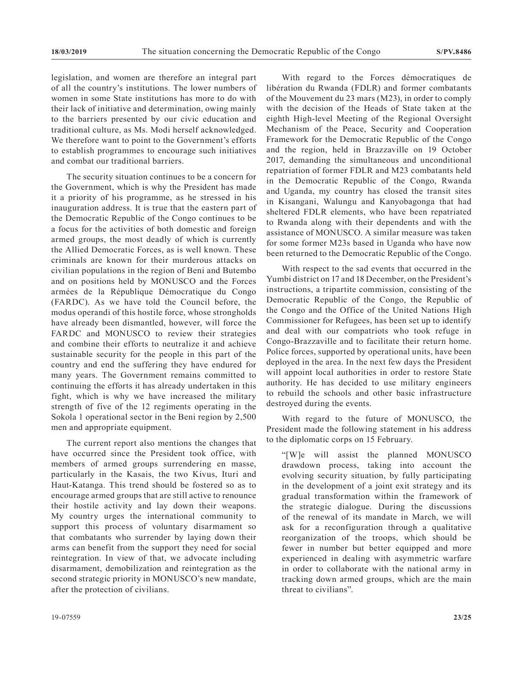legislation, and women are therefore an integral part of all the country's institutions. The lower numbers of women in some State institutions has more to do with their lack of initiative and determination, owing mainly to the barriers presented by our civic education and traditional culture, as Ms. Modi herself acknowledged. We therefore want to point to the Government's efforts to establish programmes to encourage such initiatives and combat our traditional barriers.

The security situation continues to be a concern for the Government, which is why the President has made it a priority of his programme, as he stressed in his inauguration address. It is true that the eastern part of the Democratic Republic of the Congo continues to be a focus for the activities of both domestic and foreign armed groups, the most deadly of which is currently the Allied Democratic Forces, as is well known. These criminals are known for their murderous attacks on civilian populations in the region of Beni and Butembo and on positions held by MONUSCO and the Forces armées de la République Démocratique du Congo (FARDC). As we have told the Council before, the modus operandi of this hostile force, whose strongholds have already been dismantled, however, will force the FARDC and MONUSCO to review their strategies and combine their efforts to neutralize it and achieve sustainable security for the people in this part of the country and end the suffering they have endured for many years. The Government remains committed to continuing the efforts it has already undertaken in this fight, which is why we have increased the military strength of five of the 12 regiments operating in the Sokola 1 operational sector in the Beni region by 2,500 men and appropriate equipment.

The current report also mentions the changes that have occurred since the President took office, with members of armed groups surrendering en masse, particularly in the Kasais, the two Kivus, Ituri and Haut-Katanga. This trend should be fostered so as to encourage armed groups that are still active to renounce their hostile activity and lay down their weapons. My country urges the international community to support this process of voluntary disarmament so that combatants who surrender by laying down their arms can benefit from the support they need for social reintegration. In view of that, we advocate including disarmament, demobilization and reintegration as the second strategic priority in MONUSCO's new mandate, after the protection of civilians.

With regard to the Forces démocratiques de libération du Rwanda (FDLR) and former combatants of the Mouvement du 23 mars (M23), in order to comply with the decision of the Heads of State taken at the eighth High-level Meeting of the Regional Oversight Mechanism of the Peace, Security and Cooperation Framework for the Democratic Republic of the Congo and the region, held in Brazzaville on 19 October 2017, demanding the simultaneous and unconditional repatriation of former FDLR and M23 combatants held in the Democratic Republic of the Congo, Rwanda and Uganda, my country has closed the transit sites in Kisangani, Walungu and Kanyobagonga that had sheltered FDLR elements, who have been repatriated to Rwanda along with their dependents and with the assistance of MONUSCO. A similar measure was taken for some former M23s based in Uganda who have now been returned to the Democratic Republic of the Congo.

With respect to the sad events that occurred in the Yumbi district on 17 and 18 December, on the President's instructions, a tripartite commission, consisting of the Democratic Republic of the Congo, the Republic of the Congo and the Office of the United Nations High Commissioner for Refugees, has been set up to identify and deal with our compatriots who took refuge in Congo-Brazzaville and to facilitate their return home. Police forces, supported by operational units, have been deployed in the area. In the next few days the President will appoint local authorities in order to restore State authority. He has decided to use military engineers to rebuild the schools and other basic infrastructure destroyed during the events.

With regard to the future of MONUSCO, the President made the following statement in his address to the diplomatic corps on 15 February.

"[W]e will assist the planned MONUSCO drawdown process, taking into account the evolving security situation, by fully participating in the development of a joint exit strategy and its gradual transformation within the framework of the strategic dialogue. During the discussions of the renewal of its mandate in March, we will ask for a reconfiguration through a qualitative reorganization of the troops, which should be fewer in number but better equipped and more experienced in dealing with asymmetric warfare in order to collaborate with the national army in tracking down armed groups, which are the main threat to civilians".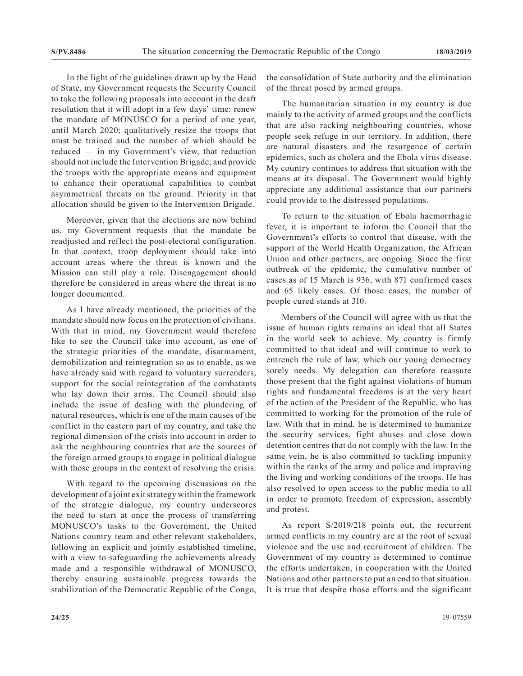In the light of the guidelines drawn up by the Head of State, my Government requests the Security Council to take the following proposals into account in the draft resolution that it will adopt in a few days' time: renew the mandate of MONUSCO for a period of one year, until March 2020; qualitatively resize the troops that must be trained and the number of which should be reduced — in my Government's view, that reduction should not include the Intervention Brigade; and provide the troops with the appropriate means and equipment to enhance their operational capabilities to combat asymmetrical threats on the ground. Priority in that allocation should be given to the Intervention Brigade.

Moreover, given that the elections are now behind us, my Government requests that the mandate be readjusted and reflect the post-electoral configuration. In that context, troop deployment should take into account areas where the threat is known and the Mission can still play a role. Disengagement should therefore be considered in areas where the threat is no longer documented.

As I have already mentioned, the priorities of the mandate should now focus on the protection of civilians. With that in mind, my Government would therefore like to see the Council take into account, as one of the strategic priorities of the mandate, disarmament, demobilization and reintegration so as to enable, as we have already said with regard to voluntary surrenders, support for the social reintegration of the combatants who lay down their arms. The Council should also include the issue of dealing with the plundering of natural resources, which is one of the main causes of the conflict in the eastern part of my country, and take the regional dimension of the crisis into account in order to ask the neighbouring countries that are the sources of the foreign armed groups to engage in political dialogue with those groups in the context of resolving the crisis.

With regard to the upcoming discussions on the development of a joint exit strategy within the framework of the strategic dialogue, my country underscores the need to start at once the process of transferring MONUSCO's tasks to the Government, the United Nations country team and other relevant stakeholders, following an explicit and jointly established timeline, with a view to safeguarding the achievements already made and a responsible withdrawal of MONUSCO, thereby ensuring sustainable progress towards the stabilization of the Democratic Republic of the Congo, the consolidation of State authority and the elimination of the threat posed by armed groups.

The humanitarian situation in my country is due mainly to the activity of armed groups and the conflicts that are also racking neighbouring countries, whose people seek refuge in our territory. In addition, there are natural disasters and the resurgence of certain epidemics, such as cholera and the Ebola virus disease. My country continues to address that situation with the means at its disposal. The Government would highly appreciate any additional assistance that our partners could provide to the distressed populations.

To return to the situation of Ebola haemorrhagic fever, it is important to inform the Council that the Government's efforts to control that disease, with the support of the World Health Organization, the African Union and other partners, are ongoing. Since the first outbreak of the epidemic, the cumulative number of cases as of 15 March is 936, with 871 confirmed cases and 65 likely cases. Of those cases, the number of people cured stands at 310.

Members of the Council will agree with us that the issue of human rights remains an ideal that all States in the world seek to achieve. My country is firmly committed to that ideal and will continue to work to entrench the rule of law, which our young democracy sorely needs. Мy delegation can therefore reassure those present that the fight against violations of human rights and fundamental freedoms is at the very heart of the action of the President of the Republic, who has committed to working for the promotion of the rule of law. With that in mind, he is determined to humanize the security services, fight abuses and close down detention centres that do not comply with the law. In the same vein, he is also committed to tackling impunity within the ranks of the army and police and improving the living and working conditions of the troops. He has also resolved to open access to the public media to all in order to promote freedom of expression, assembly and protest.

As report S/2019/218 points out, the recurrent armed conflicts in my country are at the root of sexual violence and the use and recruitment of children. The Government of my country is determined to continue the efforts undertaken, in cooperation with the United Nations and other partners to put an end to that situation. It is true that despite those efforts and the significant